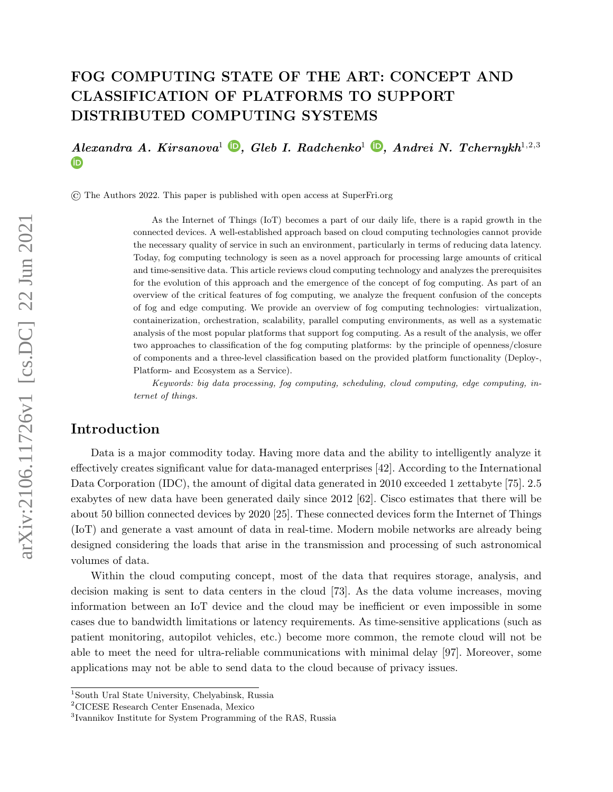# <span id="page-0-0"></span>FOG COMPUTING STATE OF THE ART: CONCEPT AND CLASSIFICATION OF PLATFORMS TO SUPPORT DISTRIBUTED COMPUTING SYSTEMS

 $AlexanderA. Kirsanova<sup>1</sup>$  $AlexanderA. Kirsanova<sup>1</sup>$  $AlexanderA. Kirsanova<sup>1</sup>$  **D**[,](https://orcid.org/0000-0002-7145-5630) Gleb I. Radchenko<sup>1</sup> **D**, Andrei N. Tchernykh<sup>1,2,3</sup> **ID** 

© The Authors 2022. This paper is published with open access at SuperFri.org

As the Internet of Things (IoT) becomes a part of our daily life, there is a rapid growth in the connected devices. A well-established approach based on cloud computing technologies cannot provide the necessary quality of service in such an environment, particularly in terms of reducing data latency. Today, fog computing technology is seen as a novel approach for processing large amounts of critical and time-sensitive data. This article reviews cloud computing technology and analyzes the prerequisites for the evolution of this approach and the emergence of the concept of fog computing. As part of an overview of the critical features of fog computing, we analyze the frequent confusion of the concepts of fog and edge computing. We provide an overview of fog computing technologies: virtualization, containerization, orchestration, scalability, parallel computing environments, as well as a systematic analysis of the most popular platforms that support fog computing. As a result of the analysis, we offer two approaches to classification of the fog computing platforms: by the principle of openness/closure of components and a three-level classification based on the provided platform functionality (Deploy-, Platform- and Ecosystem as a Service).

Keywords: big data processing, fog computing, scheduling, cloud computing, edge computing, internet of things.

## Introduction

Data is a major commodity today. Having more data and the ability to intelligently analyze it effectively creates significant value for data-managed enterprises [\[42\]](#page-28-0). According to the International Data Corporation (IDC), the amount of digital data generated in 2010 exceeded 1 zettabyte [\[75\]](#page-31-0). 2.5 exabytes of new data have been generated daily since 2012 [\[62\]](#page-30-0). Cisco estimates that there will be about 50 billion connected devices by 2020 [\[25\]](#page-27-0). These connected devices form the Internet of Things (IoT) and generate a vast amount of data in real-time. Modern mobile networks are already being designed considering the loads that arise in the transmission and processing of such astronomical volumes of data.

Within the cloud computing concept, most of the data that requires storage, analysis, and decision making is sent to data centers in the cloud [\[73\]](#page-31-1). As the data volume increases, moving information between an IoT device and the cloud may be inefficient or even impossible in some cases due to bandwidth limitations or latency requirements. As time-sensitive applications (such as patient monitoring, autopilot vehicles, etc.) become more common, the remote cloud will not be able to meet the need for ultra-reliable communications with minimal delay [\[97\]](#page-33-0). Moreover, some applications may not be able to send data to the cloud because of privacy issues.

<sup>1</sup>South Ural State University, Chelyabinsk, Russia

<sup>2</sup>CICESE Research Center Ensenada, Mexico

<sup>3</sup> Ivannikov Institute for System Programming of the RAS, Russia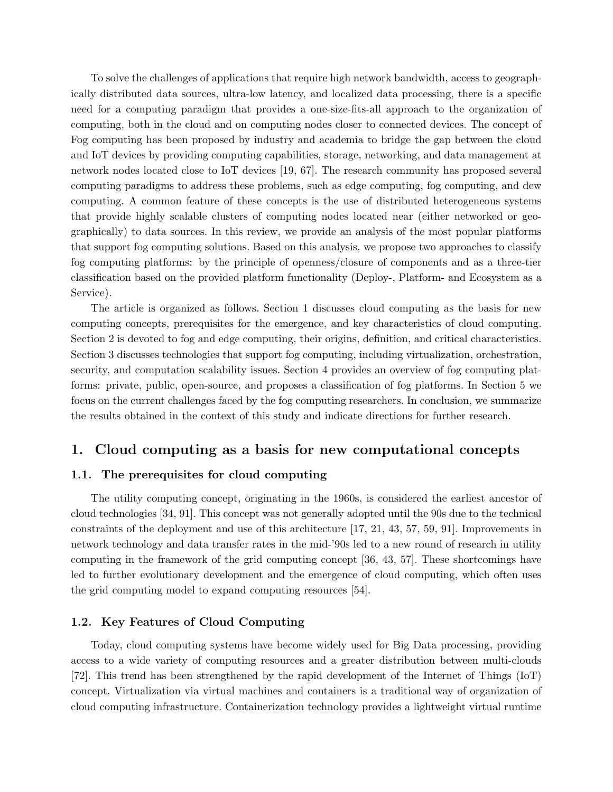To solve the challenges of applications that require high network bandwidth, access to geographically distributed data sources, ultra-low latency, and localized data processing, there is a specific need for a computing paradigm that provides a one-size-fits-all approach to the organization of computing, both in the cloud and on computing nodes closer to connected devices. The concept of Fog computing has been proposed by industry and academia to bridge the gap between the cloud and IoT devices by providing computing capabilities, storage, networking, and data management at network nodes located close to IoT devices [\[19,](#page-26-0) [67\]](#page-30-1). The research community has proposed several computing paradigms to address these problems, such as edge computing, fog computing, and dew computing. A common feature of these concepts is the use of distributed heterogeneous systems that provide highly scalable clusters of computing nodes located near (either networked or geographically) to data sources. In this review, we provide an analysis of the most popular platforms that support fog computing solutions. Based on this analysis, we propose two approaches to classify fog computing platforms: by the principle of openness/closure of components and as a three-tier classification based on the provided platform functionality (Deploy-, Platform- and Ecosystem as a Service).

The article is organized as follows. Section 1 discusses cloud computing as the basis for new computing concepts, prerequisites for the emergence, and key characteristics of cloud computing. Section 2 is devoted to fog and edge computing, their origins, definition, and critical characteristics. Section 3 discusses technologies that support fog computing, including virtualization, orchestration, security, and computation scalability issues. Section 4 provides an overview of fog computing platforms: private, public, open-source, and proposes a classification of fog platforms. In Section 5 we focus on the current challenges faced by the fog computing researchers. In conclusion, we summarize the results obtained in the context of this study and indicate directions for further research.

## 1. Cloud computing as a basis for new computational concepts

#### 1.1. The prerequisites for cloud computing

The utility computing concept, originating in the 1960s, is considered the earliest ancestor of cloud technologies [\[34,](#page-28-1) [91\]](#page-32-0). This concept was not generally adopted until the 90s due to the technical constraints of the deployment and use of this architecture [\[17,](#page-26-1) [21,](#page-27-1) [43,](#page-28-2) [57,](#page-30-2) [59,](#page-30-3) [91\]](#page-32-0). Improvements in network technology and data transfer rates in the mid-'90s led to a new round of research in utility computing in the framework of the grid computing concept [\[36,](#page-28-3) [43,](#page-28-2) [57\]](#page-30-2). These shortcomings have led to further evolutionary development and the emergence of cloud computing, which often uses the grid computing model to expand computing resources [\[54\]](#page-29-0).

#### 1.2. Key Features of Cloud Computing

Today, cloud computing systems have become widely used for Big Data processing, providing access to a wide variety of computing resources and a greater distribution between multi-clouds [\[72\]](#page-31-2). This trend has been strengthened by the rapid development of the Internet of Things (IoT) concept. Virtualization via virtual machines and containers is a traditional way of organization of cloud computing infrastructure. Containerization technology provides a lightweight virtual runtime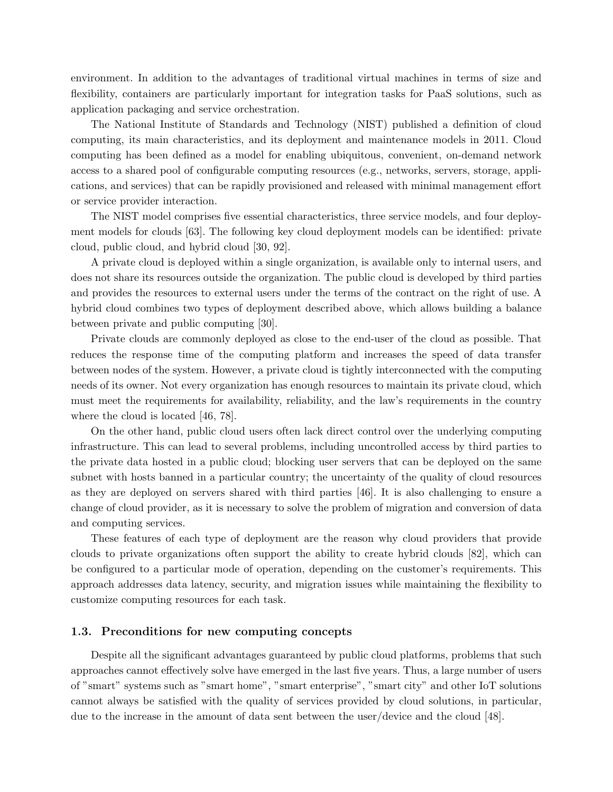environment. In addition to the advantages of traditional virtual machines in terms of size and flexibility, containers are particularly important for integration tasks for PaaS solutions, such as application packaging and service orchestration.

The National Institute of Standards and Technology (NIST) published a definition of cloud computing, its main characteristics, and its deployment and maintenance models in 2011. Cloud computing has been defined as a model for enabling ubiquitous, convenient, on-demand network access to a shared pool of configurable computing resources (e.g., networks, servers, storage, applications, and services) that can be rapidly provisioned and released with minimal management effort or service provider interaction.

The NIST model comprises five essential characteristics, three service models, and four deployment models for clouds [\[63\]](#page-30-4). The following key cloud deployment models can be identified: private cloud, public cloud, and hybrid cloud [\[30,](#page-27-2) [92\]](#page-33-1).

A private cloud is deployed within a single organization, is available only to internal users, and does not share its resources outside the organization. The public cloud is developed by third parties and provides the resources to external users under the terms of the contract on the right of use. A hybrid cloud combines two types of deployment described above, which allows building a balance between private and public computing [\[30\]](#page-27-2).

Private clouds are commonly deployed as close to the end-user of the cloud as possible. That reduces the response time of the computing platform and increases the speed of data transfer between nodes of the system. However, a private cloud is tightly interconnected with the computing needs of its owner. Not every organization has enough resources to maintain its private cloud, which must meet the requirements for availability, reliability, and the law's requirements in the country where the cloud is located [\[46,](#page-29-1) [78\]](#page-31-3).

On the other hand, public cloud users often lack direct control over the underlying computing infrastructure. This can lead to several problems, including uncontrolled access by third parties to the private data hosted in a public cloud; blocking user servers that can be deployed on the same subnet with hosts banned in a particular country; the uncertainty of the quality of cloud resources as they are deployed on servers shared with third parties [\[46\]](#page-29-1). It is also challenging to ensure a change of cloud provider, as it is necessary to solve the problem of migration and conversion of data and computing services.

These features of each type of deployment are the reason why cloud providers that provide clouds to private organizations often support the ability to create hybrid clouds [\[82\]](#page-32-1), which can be configured to a particular mode of operation, depending on the customer's requirements. This approach addresses data latency, security, and migration issues while maintaining the flexibility to customize computing resources for each task.

#### 1.3. Preconditions for new computing concepts

Despite all the significant advantages guaranteed by public cloud platforms, problems that such approaches cannot effectively solve have emerged in the last five years. Thus, a large number of users of "smart" systems such as "smart home", "smart enterprise", "smart city" and other IoT solutions cannot always be satisfied with the quality of services provided by cloud solutions, in particular, due to the increase in the amount of data sent between the user/device and the cloud [\[48\]](#page-29-2).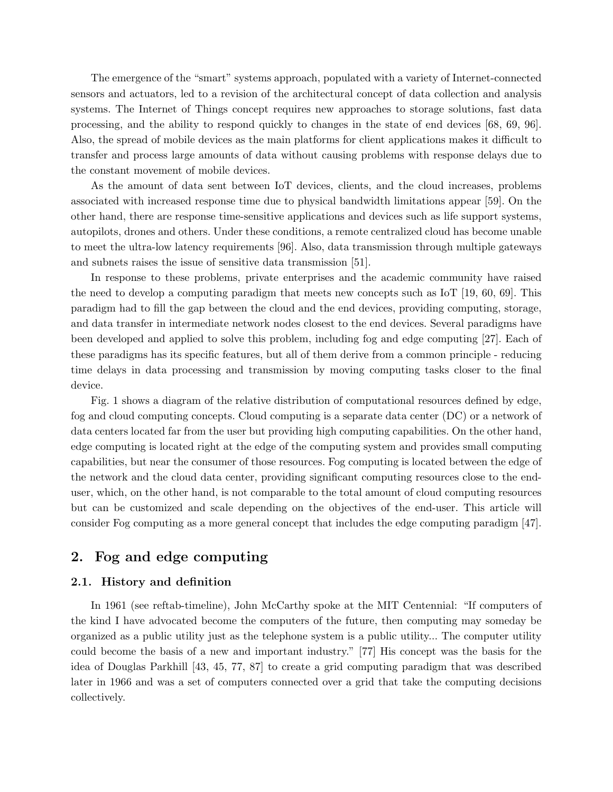The emergence of the "smart" systems approach, populated with a variety of Internet-connected sensors and actuators, led to a revision of the architectural concept of data collection and analysis systems. The Internet of Things concept requires new approaches to storage solutions, fast data processing, and the ability to respond quickly to changes in the state of end devices [\[68,](#page-30-5) [69,](#page-30-6) [96\]](#page-33-2). Also, the spread of mobile devices as the main platforms for client applications makes it difficult to transfer and process large amounts of data without causing problems with response delays due to the constant movement of mobile devices.

As the amount of data sent between IoT devices, clients, and the cloud increases, problems associated with increased response time due to physical bandwidth limitations appear [\[59\]](#page-30-3). On the other hand, there are response time-sensitive applications and devices such as life support systems, autopilots, drones and others. Under these conditions, a remote centralized cloud has become unable to meet the ultra-low latency requirements [\[96\]](#page-33-2). Also, data transmission through multiple gateways and subnets raises the issue of sensitive data transmission [\[51\]](#page-29-3).

In response to these problems, private enterprises and the academic community have raised the need to develop a computing paradigm that meets new concepts such as IoT [\[19,](#page-26-0) [60,](#page-30-7) [69\]](#page-30-6). This paradigm had to fill the gap between the cloud and the end devices, providing computing, storage, and data transfer in intermediate network nodes closest to the end devices. Several paradigms have been developed and applied to solve this problem, including fog and edge computing [\[27\]](#page-27-3). Each of these paradigms has its specific features, but all of them derive from a common principle - reducing time delays in data processing and transmission by moving computing tasks closer to the final device.

Fig. [1](#page-4-0) shows a diagram of the relative distribution of computational resources defined by edge, fog and cloud computing concepts. Cloud computing is a separate data center (DC) or a network of data centers located far from the user but providing high computing capabilities. On the other hand, edge computing is located right at the edge of the computing system and provides small computing capabilities, but near the consumer of those resources. Fog computing is located between the edge of the network and the cloud data center, providing significant computing resources close to the enduser, which, on the other hand, is not comparable to the total amount of cloud computing resources but can be customized and scale depending on the objectives of the end-user. This article will consider Fog computing as a more general concept that includes the edge computing paradigm [\[47\]](#page-29-4).

## 2. Fog and edge computing

#### 2.1. History and definition

In 1961 (see reftab-timeline), John McCarthy spoke at the MIT Centennial: "If computers of the kind I have advocated become the computers of the future, then computing may someday be organized as a public utility just as the telephone system is a public utility... The computer utility could become the basis of a new and important industry." [\[77\]](#page-31-4) His concept was the basis for the idea of Douglas Parkhill [\[43,](#page-28-2) [45,](#page-29-5) [77,](#page-31-4) [87\]](#page-32-2) to create a grid computing paradigm that was described later in 1966 and was a set of computers connected over a grid that take the computing decisions collectively.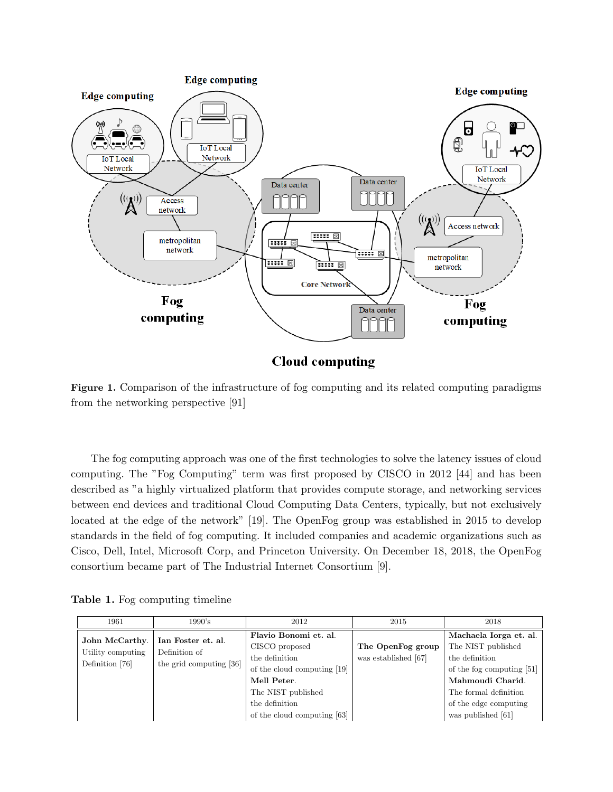<span id="page-4-0"></span>

**Cloud computing** 

Figure 1. Comparison of the infrastructure of fog computing and its related computing paradigms from the networking perspective [\[91\]](#page-32-0)

The fog computing approach was one of the first technologies to solve the latency issues of cloud computing. The "Fog Computing" term was first proposed by CISCO in 2012 [\[44\]](#page-29-6) and has been described as "a highly virtualized platform that provides compute storage, and networking services between end devices and traditional Cloud Computing Data Centers, typically, but not exclusively located at the edge of the network" [\[19\]](#page-26-0). The OpenFog group was established in 2015 to develop standards in the field of fog computing. It included companies and academic organizations such as Cisco, Dell, Intel, Microsoft Corp, and Princeton University. On December 18, 2018, the OpenFog consortium became part of The Industrial Internet Consortium [\[9\]](#page-26-2).

Table 1. Fog computing timeline

| 1961                                                   | 1990's                                                         | 2012                                                                                                                                            | 2015                                      | 2018                                                                                                                                                              |
|--------------------------------------------------------|----------------------------------------------------------------|-------------------------------------------------------------------------------------------------------------------------------------------------|-------------------------------------------|-------------------------------------------------------------------------------------------------------------------------------------------------------------------|
| John McCarthy.<br>Utility computing<br>Definition [76] | Ian Foster et. al.<br>Definition of<br>the grid computing [36] | Flavio Bonomi et. al.<br>CISCO proposed<br>the definition<br>of the cloud computing [19]<br>Mell Peter.<br>The NIST published<br>the definition | The OpenFog group<br>was established [67] | Machaela Iorga et. al.<br>The NIST published<br>the definition<br>of the fog computing [51]<br>Mahmoudi Charid.<br>The formal definition<br>of the edge computing |
|                                                        |                                                                | of the cloud computing $[63]$                                                                                                                   |                                           | was published [61]                                                                                                                                                |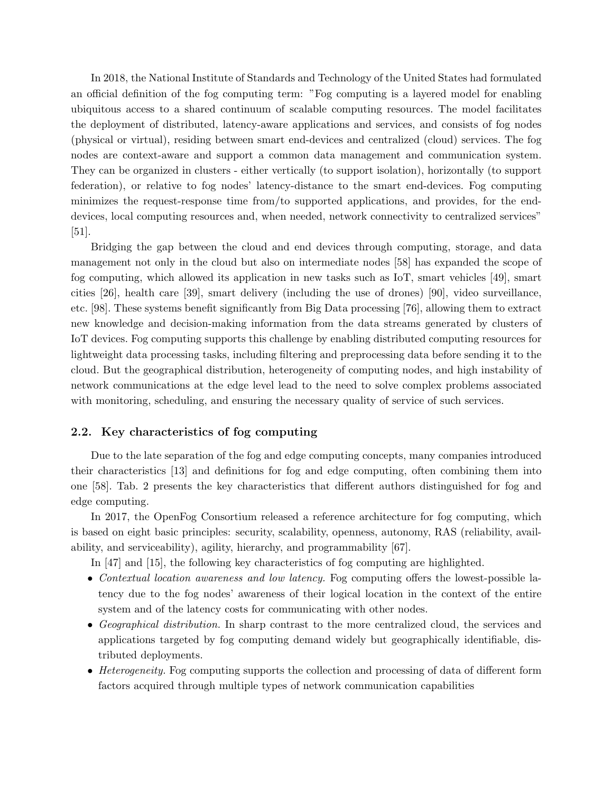In 2018, the National Institute of Standards and Technology of the United States had formulated an official definition of the fog computing term: "Fog computing is a layered model for enabling ubiquitous access to a shared continuum of scalable computing resources. The model facilitates the deployment of distributed, latency-aware applications and services, and consists of fog nodes (physical or virtual), residing between smart end-devices and centralized (cloud) services. The fog nodes are context-aware and support a common data management and communication system. They can be organized in clusters - either vertically (to support isolation), horizontally (to support federation), or relative to fog nodes' latency-distance to the smart end-devices. Fog computing minimizes the request-response time from/to supported applications, and provides, for the enddevices, local computing resources and, when needed, network connectivity to centralized services" [\[51\]](#page-29-3).

Bridging the gap between the cloud and end devices through computing, storage, and data management not only in the cloud but also on intermediate nodes [\[58\]](#page-30-9) has expanded the scope of fog computing, which allowed its application in new tasks such as IoT, smart vehicles [\[49\]](#page-29-7), smart cities [\[26\]](#page-27-4), health care [\[39\]](#page-28-4), smart delivery (including the use of drones) [\[90\]](#page-32-3), video surveillance, etc. [\[98\]](#page-33-3). These systems benefit significantly from Big Data processing [\[76\]](#page-31-5), allowing them to extract new knowledge and decision-making information from the data streams generated by clusters of IoT devices. Fog computing supports this challenge by enabling distributed computing resources for lightweight data processing tasks, including filtering and preprocessing data before sending it to the cloud. But the geographical distribution, heterogeneity of computing nodes, and high instability of network communications at the edge level lead to the need to solve complex problems associated with monitoring, scheduling, and ensuring the necessary quality of service of such services.

#### 2.2. Key characteristics of fog computing

Due to the late separation of the fog and edge computing concepts, many companies introduced their characteristics [\[13\]](#page-26-3) and definitions for fog and edge computing, often combining them into one [\[58\]](#page-30-9). Tab. [2](#page-6-0) presents the key characteristics that different authors distinguished for fog and edge computing.

In 2017, the OpenFog Consortium released a reference architecture for fog computing, which is based on eight basic principles: security, scalability, openness, autonomy, RAS (reliability, availability, and serviceability), agility, hierarchy, and programmability [\[67\]](#page-30-1).

In [\[47\]](#page-29-4) and [\[15\]](#page-26-4), the following key characteristics of fog computing are highlighted.

- Contextual location awareness and low latency. Fog computing offers the lowest-possible latency due to the fog nodes' awareness of their logical location in the context of the entire system and of the latency costs for communicating with other nodes.
- Geographical distribution. In sharp contrast to the more centralized cloud, the services and applications targeted by fog computing demand widely but geographically identifiable, distributed deployments.
- Heterogeneity. Fog computing supports the collection and processing of data of different form factors acquired through multiple types of network communication capabilities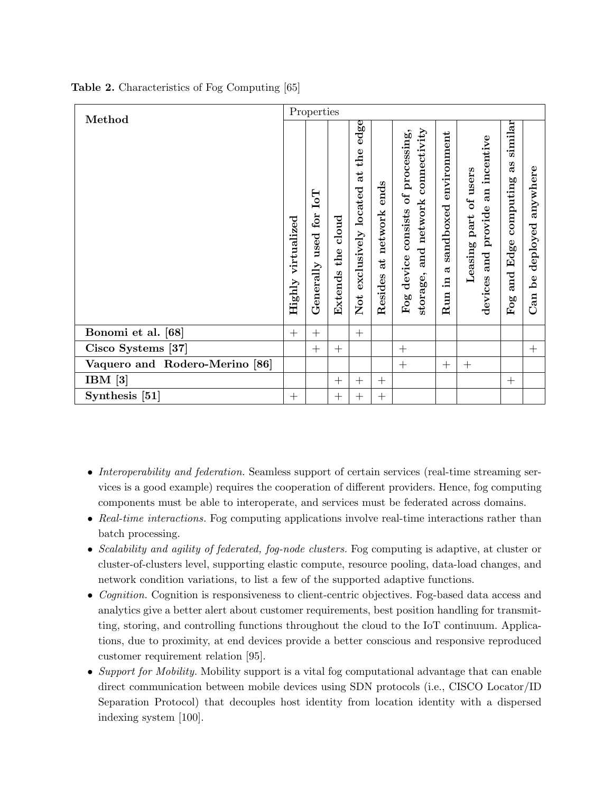| Method                         |                       | Properties                                                 |                                  |                                                   |                                 |                                                                                                |                                            |                                                                             |                                                          |                                               |
|--------------------------------|-----------------------|------------------------------------------------------------|----------------------------------|---------------------------------------------------|---------------------------------|------------------------------------------------------------------------------------------------|--------------------------------------------|-----------------------------------------------------------------------------|----------------------------------------------------------|-----------------------------------------------|
|                                | virtualized<br>Highly | $I_0I$<br>$\mathop{\rm for}\nolimits$<br>used<br>Generally | $_{\rm cloud}$<br>the<br>Extends | edge<br>the<br>đ<br>located<br>exclusively<br>Not | ends<br>network<br>đ<br>Resides | connectivity<br>of processing,<br>network<br>device consists<br>and<br>storage,<br>${\rm Fog}$ | environment<br>sandboxed<br>ದ<br>Ξ.<br>Run | incentive<br>of users<br>an<br>provide<br>part<br>Leasing<br>and<br>devices | similar<br>as<br>computing<br>Edge<br>and<br>${\rm Fog}$ | anywhere<br>deployed<br>$\mathbf{b}$ e<br>Can |
| Bonomi et al. [68]             | $+$                   | $+$                                                        |                                  | $+$                                               |                                 |                                                                                                |                                            |                                                                             |                                                          |                                               |
| Cisco Systems [37]             |                       | $+$                                                        | $^{+}$                           |                                                   |                                 | $^{+}$                                                                                         |                                            |                                                                             |                                                          | $+$                                           |
| Vaquero and Rodero-Merino [86] |                       |                                                            |                                  |                                                   |                                 | $^{+}$                                                                                         | $+$                                        | $^{+}$                                                                      |                                                          |                                               |
| IBM $[3]$                      |                       |                                                            | $^{+}$                           | $+$                                               | $+$                             |                                                                                                |                                            |                                                                             | $^{+}$                                                   |                                               |
| Synthesis [51]                 | $^{+}$                |                                                            | $^{+}$                           | $^{+}$                                            | $^{+}$                          |                                                                                                |                                            |                                                                             |                                                          |                                               |

<span id="page-6-0"></span>Table 2. Characteristics of Fog Computing [\[65\]](#page-30-10)

- Interoperability and federation. Seamless support of certain services (real-time streaming services is a good example) requires the cooperation of different providers. Hence, fog computing components must be able to interoperate, and services must be federated across domains.
- Real-time interactions. Fog computing applications involve real-time interactions rather than batch processing.
- Scalability and agility of federated, fog-node clusters. Fog computing is adaptive, at cluster or cluster-of-clusters level, supporting elastic compute, resource pooling, data-load changes, and network condition variations, to list a few of the supported adaptive functions.
- *Cognition*. Cognition is responsiveness to client-centric objectives. Fog-based data access and analytics give a better alert about customer requirements, best position handling for transmitting, storing, and controlling functions throughout the cloud to the IoT continuum. Applications, due to proximity, at end devices provide a better conscious and responsive reproduced customer requirement relation [\[95\]](#page-33-4).
- Support for Mobility. Mobility support is a vital fog computational advantage that can enable direct communication between mobile devices using SDN protocols (i.e., CISCO Locator/ID Separation Protocol) that decouples host identity from location identity with a dispersed indexing system [\[100\]](#page-33-5).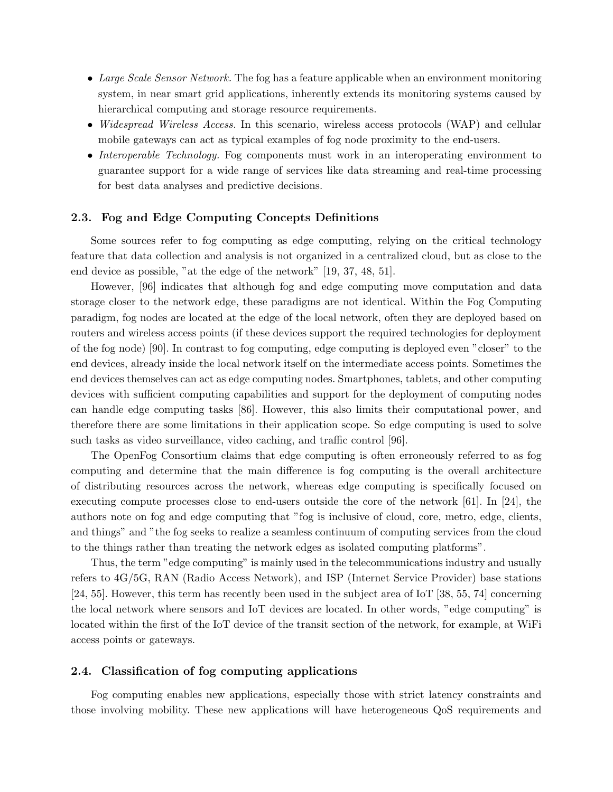- Large Scale Sensor Network. The fog has a feature applicable when an environment monitoring system, in near smart grid applications, inherently extends its monitoring systems caused by hierarchical computing and storage resource requirements.
- *Widespread Wireless Access.* In this scenario, wireless access protocols (WAP) and cellular mobile gateways can act as typical examples of fog node proximity to the end-users.
- Interoperable Technology. Fog components must work in an interoperating environment to guarantee support for a wide range of services like data streaming and real-time processing for best data analyses and predictive decisions.

#### 2.3. Fog and Edge Computing Concepts Definitions

Some sources refer to fog computing as edge computing, relying on the critical technology feature that data collection and analysis is not organized in a centralized cloud, but as close to the end device as possible, "at the edge of the network" [\[19,](#page-26-0) [37,](#page-28-5) [48,](#page-29-2) [51\]](#page-29-3).

However, [\[96\]](#page-33-2) indicates that although fog and edge computing move computation and data storage closer to the network edge, these paradigms are not identical. Within the Fog Computing paradigm, fog nodes are located at the edge of the local network, often they are deployed based on routers and wireless access points (if these devices support the required technologies for deployment of the fog node) [\[90\]](#page-32-3). In contrast to fog computing, edge computing is deployed even "closer" to the end devices, already inside the local network itself on the intermediate access points. Sometimes the end devices themselves can act as edge computing nodes. Smartphones, tablets, and other computing devices with sufficient computing capabilities and support for the deployment of computing nodes can handle edge computing tasks [\[86\]](#page-32-4). However, this also limits their computational power, and therefore there are some limitations in their application scope. So edge computing is used to solve such tasks as video surveillance, video caching, and traffic control [\[96\]](#page-33-2).

The OpenFog Consortium claims that edge computing is often erroneously referred to as fog computing and determine that the main difference is fog computing is the overall architecture of distributing resources across the network, whereas edge computing is specifically focused on executing compute processes close to end-users outside the core of the network [\[61\]](#page-30-8). In [\[24\]](#page-27-5), the authors note on fog and edge computing that "fog is inclusive of cloud, core, metro, edge, clients, and things" and "the fog seeks to realize a seamless continuum of computing services from the cloud to the things rather than treating the network edges as isolated computing platforms".

Thus, the term "edge computing" is mainly used in the telecommunications industry and usually refers to 4G/5G, RAN (Radio Access Network), and ISP (Internet Service Provider) base stations [\[24,](#page-27-5) [55\]](#page-29-8). However, this term has recently been used in the subject area of IoT [\[38,](#page-28-6) [55,](#page-29-8) [74\]](#page-31-6) concerning the local network where sensors and IoT devices are located. In other words, "edge computing" is located within the first of the IoT device of the transit section of the network, for example, at WiFi access points or gateways.

#### 2.4. Classification of fog computing applications

Fog computing enables new applications, especially those with strict latency constraints and those involving mobility. These new applications will have heterogeneous QoS requirements and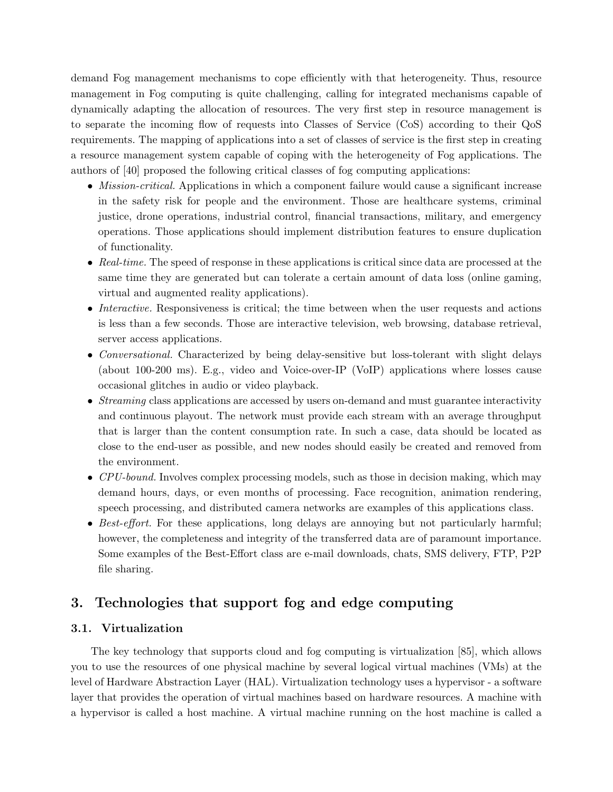demand Fog management mechanisms to cope efficiently with that heterogeneity. Thus, resource management in Fog computing is quite challenging, calling for integrated mechanisms capable of dynamically adapting the allocation of resources. The very first step in resource management is to separate the incoming flow of requests into Classes of Service (CoS) according to their QoS requirements. The mapping of applications into a set of classes of service is the first step in creating a resource management system capable of coping with the heterogeneity of Fog applications. The authors of [\[40\]](#page-28-7) proposed the following critical classes of fog computing applications:

- *Mission-critical.* Applications in which a component failure would cause a significant increase in the safety risk for people and the environment. Those are healthcare systems, criminal justice, drone operations, industrial control, financial transactions, military, and emergency operations. Those applications should implement distribution features to ensure duplication of functionality.
- Real-time. The speed of response in these applications is critical since data are processed at the same time they are generated but can tolerate a certain amount of data loss (online gaming, virtual and augmented reality applications).
- Interactive. Responsiveness is critical; the time between when the user requests and actions is less than a few seconds. Those are interactive television, web browsing, database retrieval, server access applications.
- Conversational. Characterized by being delay-sensitive but loss-tolerant with slight delays (about 100-200 ms). E.g., video and Voice-over-IP (VoIP) applications where losses cause occasional glitches in audio or video playback.
- Streaming class applications are accessed by users on-demand and must guarantee interactivity and continuous playout. The network must provide each stream with an average throughput that is larger than the content consumption rate. In such a case, data should be located as close to the end-user as possible, and new nodes should easily be created and removed from the environment.
- CPU-bound. Involves complex processing models, such as those in decision making, which may demand hours, days, or even months of processing. Face recognition, animation rendering, speech processing, and distributed camera networks are examples of this applications class.
- Best-effort. For these applications, long delays are annoying but not particularly harmful; however, the completeness and integrity of the transferred data are of paramount importance. Some examples of the Best-Effort class are e-mail downloads, chats, SMS delivery, FTP, P2P file sharing.

## 3. Technologies that support fog and edge computing

## 3.1. Virtualization

The key technology that supports cloud and fog computing is virtualization [\[85\]](#page-32-5), which allows you to use the resources of one physical machine by several logical virtual machines (VMs) at the level of Hardware Abstraction Layer (HAL). Virtualization technology uses a hypervisor - a software layer that provides the operation of virtual machines based on hardware resources. A machine with a hypervisor is called a host machine. A virtual machine running on the host machine is called a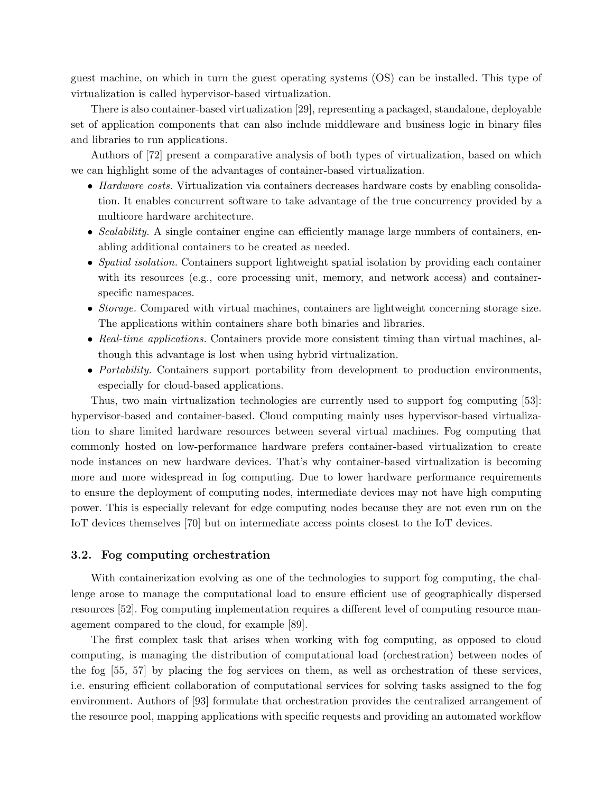guest machine, on which in turn the guest operating systems (OS) can be installed. This type of virtualization is called hypervisor-based virtualization.

There is also container-based virtualization [\[29\]](#page-27-6), representing a packaged, standalone, deployable set of application components that can also include middleware and business logic in binary files and libraries to run applications.

Authors of [\[72\]](#page-31-2) present a comparative analysis of both types of virtualization, based on which we can highlight some of the advantages of container-based virtualization.

- Hardware costs. Virtualization via containers decreases hardware costs by enabling consolidation. It enables concurrent software to take advantage of the true concurrency provided by a multicore hardware architecture.
- *Scalability*. A single container engine can efficiently manage large numbers of containers, enabling additional containers to be created as needed.
- Spatial isolation. Containers support lightweight spatial isolation by providing each container with its resources (e.g., core processing unit, memory, and network access) and containerspecific namespaces.
- Storage. Compared with virtual machines, containers are lightweight concerning storage size. The applications within containers share both binaries and libraries.
- Real-time applications. Containers provide more consistent timing than virtual machines, although this advantage is lost when using hybrid virtualization.
- Portability. Containers support portability from development to production environments, especially for cloud-based applications.

Thus, two main virtualization technologies are currently used to support fog computing [\[53\]](#page-29-9): hypervisor-based and container-based. Cloud computing mainly uses hypervisor-based virtualization to share limited hardware resources between several virtual machines. Fog computing that commonly hosted on low-performance hardware prefers container-based virtualization to create node instances on new hardware devices. That's why container-based virtualization is becoming more and more widespread in fog computing. Due to lower hardware performance requirements to ensure the deployment of computing nodes, intermediate devices may not have high computing power. This is especially relevant for edge computing nodes because they are not even run on the IoT devices themselves [\[70\]](#page-31-7) but on intermediate access points closest to the IoT devices.

#### 3.2. Fog computing orchestration

With containerization evolving as one of the technologies to support fog computing, the challenge arose to manage the computational load to ensure efficient use of geographically dispersed resources [\[52\]](#page-29-10). Fog computing implementation requires a different level of computing resource management compared to the cloud, for example [\[89\]](#page-32-6).

The first complex task that arises when working with fog computing, as opposed to cloud computing, is managing the distribution of computational load (orchestration) between nodes of the fog [\[55,](#page-29-8) [57\]](#page-30-2) by placing the fog services on them, as well as orchestration of these services, i.e. ensuring efficient collaboration of computational services for solving tasks assigned to the fog environment. Authors of [\[93\]](#page-33-6) formulate that orchestration provides the centralized arrangement of the resource pool, mapping applications with specific requests and providing an automated workflow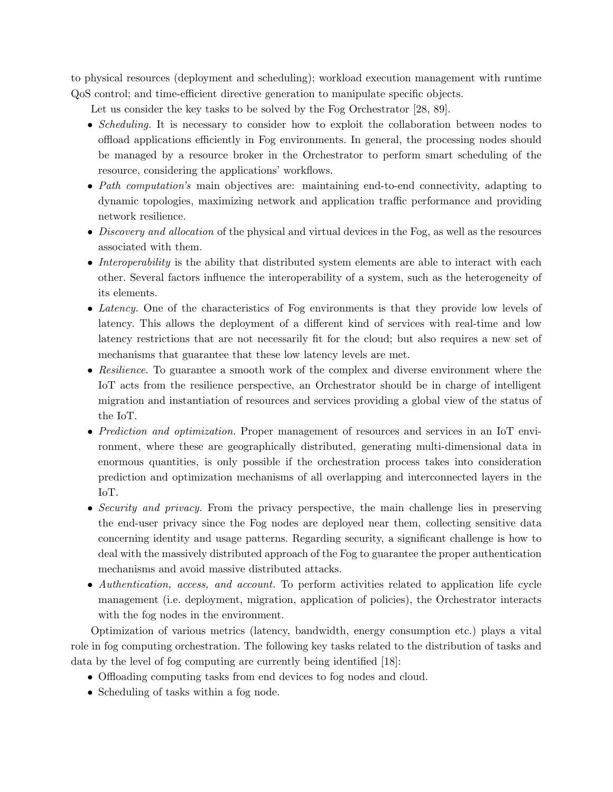to physical resources (deployment and scheduling); workload execution management with runtime QoS control; and time-efficient directive generation to manipulate specific objects.

Let us consider the key tasks to be solved by the Fog Orchestrator [\[28,](#page-27-7) [89\]](#page-32-6).

- Scheduling. It is necessary to consider how to exploit the collaboration between nodes to offload applications efficiently in Fog environments. In general, the processing nodes should be managed by a resource broker in the Orchestrator to perform smart scheduling of the resource, considering the applications' workflows.
- Path computation's main objectives are: maintaining end-to-end connectivity, adapting to dynamic topologies, maximizing network and application traffic performance and providing network resilience.
- Discovery and allocation of the physical and virtual devices in the Fog, as well as the resources associated with them.
- Interoperability is the ability that distributed system elements are able to interact with each other. Several factors influence the interoperability of a system, such as the heterogeneity of its elements.
- Latency. One of the characteristics of Fog environments is that they provide low levels of latency. This allows the deployment of a different kind of services with real-time and low latency restrictions that are not necessarily fit for the cloud; but also requires a new set of mechanisms that guarantee that these low latency levels are met.
- Resilience. To guarantee a smooth work of the complex and diverse environment where the IoT acts from the resilience perspective, an Orchestrator should be in charge of intelligent migration and instantiation of resources and services providing a global view of the status of the IoT.
- *Prediction and optimization*. Proper management of resources and services in an IoT environment, where these are geographically distributed, generating multi-dimensional data in enormous quantities, is only possible if the orchestration process takes into consideration prediction and optimization mechanisms of all overlapping and interconnected layers in the IoT.
- Security and privacy. From the privacy perspective, the main challenge lies in preserving the end-user privacy since the Fog nodes are deployed near them, collecting sensitive data concerning identity and usage patterns. Regarding security, a significant challenge is how to deal with the massively distributed approach of the Fog to guarantee the proper authentication mechanisms and avoid massive distributed attacks.
- Authentication, access, and account. To perform activities related to application life cycle management (i.e. deployment, migration, application of policies), the Orchestrator interacts with the fog nodes in the environment.

Optimization of various metrics (latency, bandwidth, energy consumption etc.) plays a vital role in fog computing orchestration. The following key tasks related to the distribution of tasks and data by the level of fog computing are currently being identified [\[18\]](#page-26-5):

- Offloading computing tasks from end devices to fog nodes and cloud.
- Scheduling of tasks within a fog node.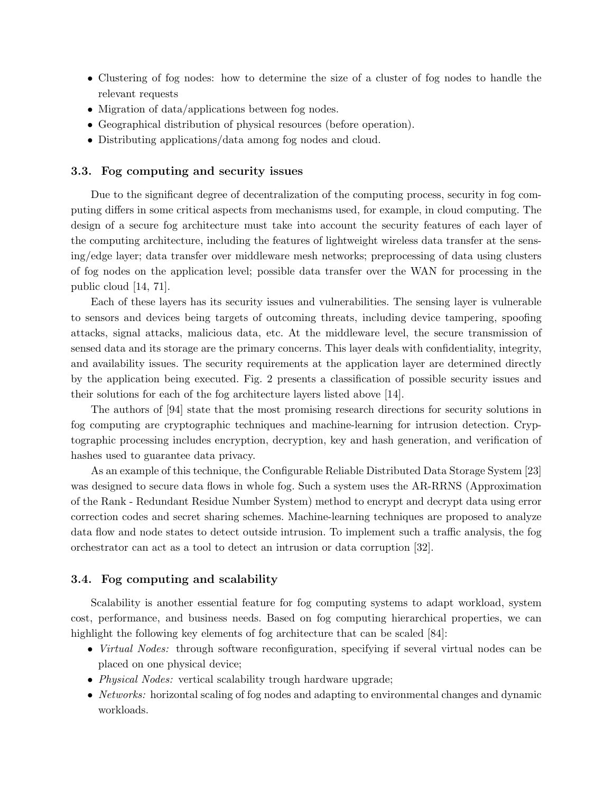- Clustering of fog nodes: how to determine the size of a cluster of fog nodes to handle the relevant requests
- Migration of data/applications between fog nodes.
- Geographical distribution of physical resources (before operation).
- Distributing applications/data among fog nodes and cloud.

### 3.3. Fog computing and security issues

Due to the significant degree of decentralization of the computing process, security in fog computing differs in some critical aspects from mechanisms used, for example, in cloud computing. The design of a secure fog architecture must take into account the security features of each layer of the computing architecture, including the features of lightweight wireless data transfer at the sensing/edge layer; data transfer over middleware mesh networks; preprocessing of data using clusters of fog nodes on the application level; possible data transfer over the WAN for processing in the public cloud [\[14,](#page-26-6) [71\]](#page-31-8).

Each of these layers has its security issues and vulnerabilities. The sensing layer is vulnerable to sensors and devices being targets of outcoming threats, including device tampering, spoofing attacks, signal attacks, malicious data, etc. At the middleware level, the secure transmission of sensed data and its storage are the primary concerns. This layer deals with confidentiality, integrity, and availability issues. The security requirements at the application layer are determined directly by the application being executed. Fig. [2](#page-12-0) presents a classification of possible security issues and their solutions for each of the fog architecture layers listed above [\[14\]](#page-26-6).

The authors of [\[94\]](#page-33-7) state that the most promising research directions for security solutions in fog computing are cryptographic techniques and machine-learning for intrusion detection. Cryptographic processing includes encryption, decryption, key and hash generation, and verification of hashes used to guarantee data privacy.

As an example of this technique, the Configurable Reliable Distributed Data Storage System [\[23\]](#page-27-8) was designed to secure data flows in whole fog. Such a system uses the AR-RRNS (Approximation of the Rank - Redundant Residue Number System) method to encrypt and decrypt data using error correction codes and secret sharing schemes. Machine-learning techniques are proposed to analyze data flow and node states to detect outside intrusion. To implement such a traffic analysis, the fog orchestrator can act as a tool to detect an intrusion or data corruption [\[32\]](#page-28-8).

### 3.4. Fog computing and scalability

Scalability is another essential feature for fog computing systems to adapt workload, system cost, performance, and business needs. Based on fog computing hierarchical properties, we can highlight the following key elements of fog architecture that can be scaled [\[84\]](#page-32-7):

- Virtual Nodes: through software reconfiguration, specifying if several virtual nodes can be placed on one physical device;
- Physical Nodes: vertical scalability trough hardware upgrade;
- Networks: horizontal scaling of fog nodes and adapting to environmental changes and dynamic workloads.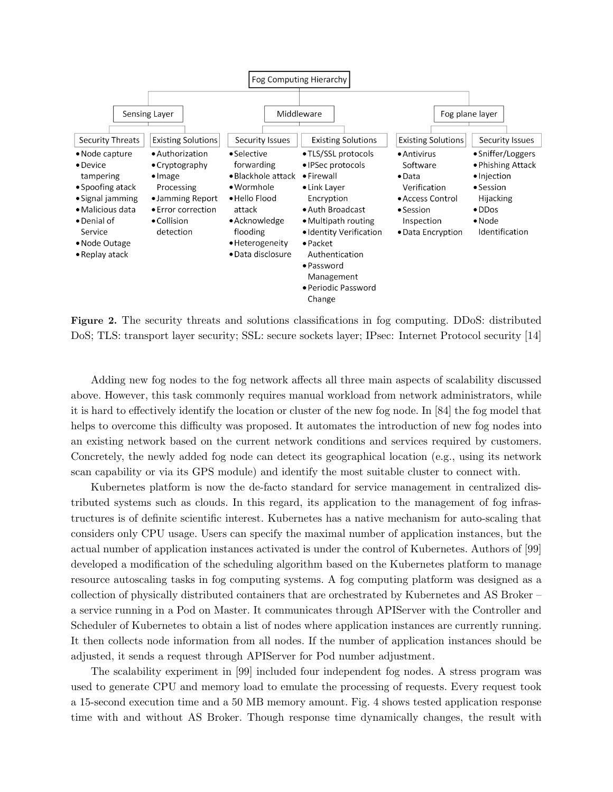<span id="page-12-0"></span>

Figure 2. The security threats and solutions classifications in fog computing. DDoS: distributed DoS; TLS: transport layer security; SSL: secure sockets layer; IPsec: Internet Protocol security [\[14\]](#page-26-6)

Adding new fog nodes to the fog network affects all three main aspects of scalability discussed above. However, this task commonly requires manual workload from network administrators, while it is hard to effectively identify the location or cluster of the new fog node. In [\[84\]](#page-32-7) the fog model that helps to overcome this difficulty was proposed. It automates the introduction of new fog nodes into an existing network based on the current network conditions and services required by customers. Concretely, the newly added fog node can detect its geographical location (e.g., using its network scan capability or via its GPS module) and identify the most suitable cluster to connect with.

Kubernetes platform is now the de-facto standard for service management in centralized distributed systems such as clouds. In this regard, its application to the management of fog infrastructures is of definite scientific interest. Kubernetes has a native mechanism for auto-scaling that considers only CPU usage. Users can specify the maximal number of application instances, but the actual number of application instances activated is under the control of Kubernetes. Authors of [\[99\]](#page-33-8) developed a modification of the scheduling algorithm based on the Kubernetes platform to manage resource autoscaling tasks in fog computing systems. A fog computing platform was designed as a collection of physically distributed containers that are orchestrated by Kubernetes and AS Broker – a service running in a Pod on Master. It communicates through APIServer with the Controller and Scheduler of Kubernetes to obtain a list of nodes where application instances are currently running. It then collects node information from all nodes. If the number of application instances should be adjusted, it sends a request through APIServer for Pod number adjustment.

The scalability experiment in [\[99\]](#page-33-8) included four independent fog nodes. A stress program was used to generate CPU and memory load to emulate the processing of requests. Every request took a 15-second execution time and a 50 MB memory amount. Fig. [4](#page-14-0) shows tested application response time with and without AS Broker. Though response time dynamically changes, the result with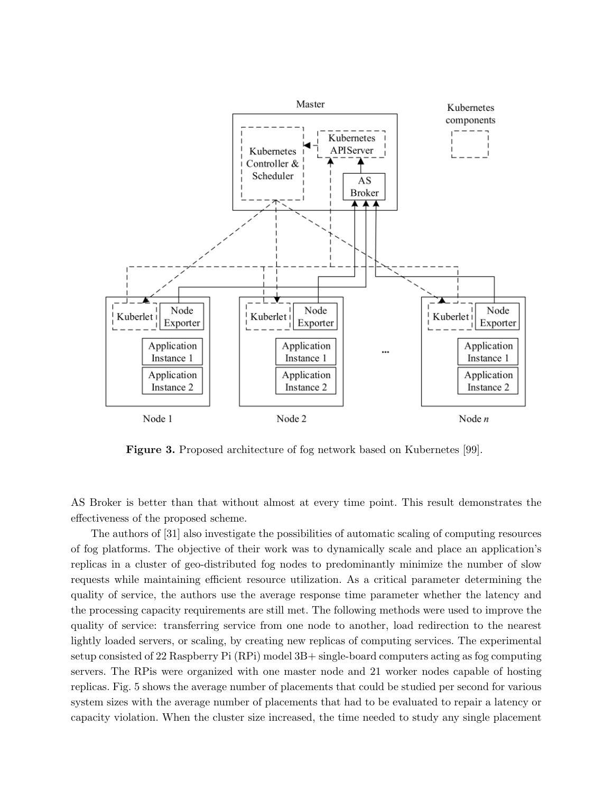

Figure 3. Proposed architecture of fog network based on Kubernetes [\[99\]](#page-33-8).

AS Broker is better than that without almost at every time point. This result demonstrates the effectiveness of the proposed scheme.

The authors of [\[31\]](#page-27-9) also investigate the possibilities of automatic scaling of computing resources of fog platforms. The objective of their work was to dynamically scale and place an application's replicas in a cluster of geo-distributed fog nodes to predominantly minimize the number of slow requests while maintaining efficient resource utilization. As a critical parameter determining the quality of service, the authors use the average response time parameter whether the latency and the processing capacity requirements are still met. The following methods were used to improve the quality of service: transferring service from one node to another, load redirection to the nearest lightly loaded servers, or scaling, by creating new replicas of computing services. The experimental setup consisted of 22 Raspberry Pi (RPi) model 3B+ single-board computers acting as fog computing servers. The RPis were organized with one master node and 21 worker nodes capable of hosting replicas. Fig. [5](#page-14-1) shows the average number of placements that could be studied per second for various system sizes with the average number of placements that had to be evaluated to repair a latency or capacity violation. When the cluster size increased, the time needed to study any single placement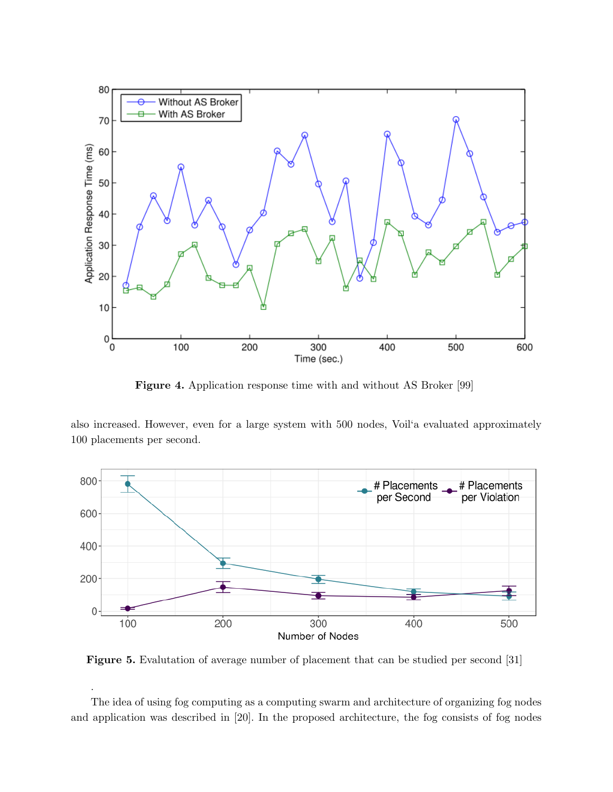<span id="page-14-0"></span>

Figure 4. Application response time with and without AS Broker [\[99\]](#page-33-8)

also increased. However, even for a large system with 500 nodes, Voil'a evaluated approximately 100 placements per second.

<span id="page-14-1"></span>

Figure 5. Evalutation of average number of placement that can be studied per second [\[31\]](#page-27-9)

.

The idea of using fog computing as a computing swarm and architecture of organizing fog nodes and application was described in [\[20\]](#page-27-10). In the proposed architecture, the fog consists of fog nodes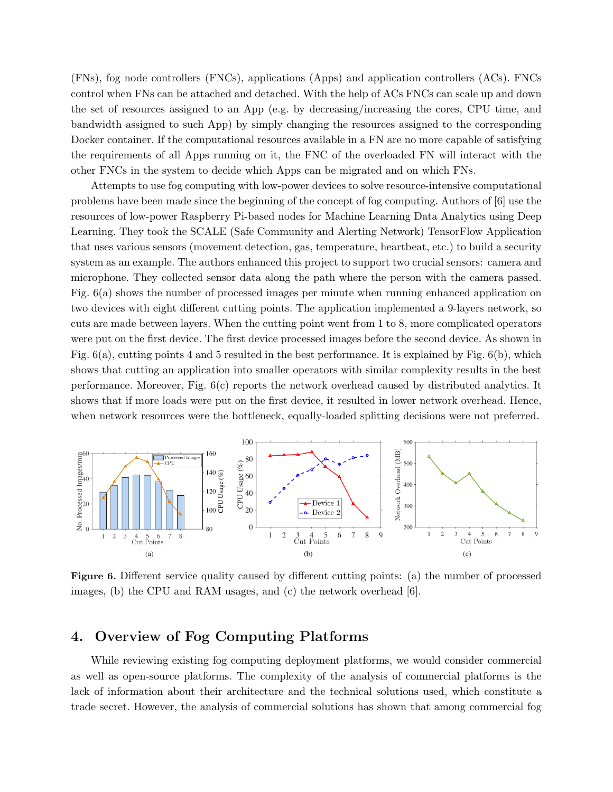(FNs), fog node controllers (FNCs), applications (Apps) and application controllers (ACs). FNCs control when FNs can be attached and detached. With the help of ACs FNCs can scale up and down the set of resources assigned to an App (e.g. by decreasing/increasing the cores, CPU time, and bandwidth assigned to such App) by simply changing the resources assigned to the corresponding Docker container. If the computational resources available in a FN are no more capable of satisfying the requirements of all Apps running on it, the FNC of the overloaded FN will interact with the other FNCs in the system to decide which Apps can be migrated and on which FNs.

Attempts to use fog computing with low-power devices to solve resource-intensive computational problems have been made since the beginning of the concept of fog computing. Authors of [\[6\]](#page-26-7) use the resources of low-power Raspberry Pi-based nodes for Machine Learning Data Analytics using Deep Learning. They took the SCALE (Safe Community and Alerting Network) TensorFlow Application that uses various sensors (movement detection, gas, temperature, heartbeat, etc.) to build a security system as an example. The authors enhanced this project to support two crucial sensors: camera and microphone. They collected sensor data along the path where the person with the camera passed. Fig. [6\(](#page-15-0)a) shows the number of processed images per minute when running enhanced application on two devices with eight different cutting points. The application implemented a 9-layers network, so cuts are made between layers. When the cutting point went from 1 to 8, more complicated operators were put on the first device. The first device processed images before the second device. As shown in Fig. [6\(](#page-15-0)a), cutting points 4 and 5 resulted in the best performance. It is explained by Fig. [6\(](#page-15-0)b), which shows that cutting an application into smaller operators with similar complexity results in the best performance. Moreover, Fig. [6\(](#page-15-0)c) reports the network overhead caused by distributed analytics. It shows that if more loads were put on the first device, it resulted in lower network overhead. Hence, when network resources were the bottleneck, equally-loaded splitting decisions were not preferred.

<span id="page-15-0"></span>

Figure 6. Different service quality caused by different cutting points: (a) the number of processed images, (b) the CPU and RAM usages, and (c) the network overhead  $[6]$ .

## 4. Overview of Fog Computing Platforms

While reviewing existing fog computing deployment platforms, we would consider commercial as well as open-source platforms. The complexity of the analysis of commercial platforms is the lack of information about their architecture and the technical solutions used, which constitute a trade secret. However, the analysis of commercial solutions has shown that among commercial fog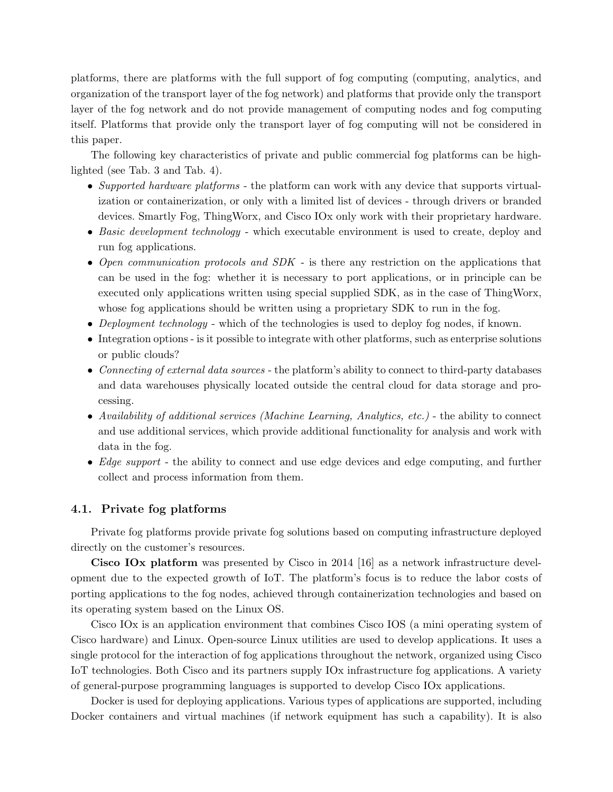platforms, there are platforms with the full support of fog computing (computing, analytics, and organization of the transport layer of the fog network) and platforms that provide only the transport layer of the fog network and do not provide management of computing nodes and fog computing itself. Platforms that provide only the transport layer of fog computing will not be considered in this paper.

The following key characteristics of private and public commercial fog platforms can be highlighted (see Tab. [3](#page-17-0) and Tab. [4\)](#page-19-0).

- Supported hardware platforms the platform can work with any device that supports virtualization or containerization, or only with a limited list of devices - through drivers or branded devices. Smartly Fog, ThingWorx, and Cisco IOx only work with their proprietary hardware.
- Basic development technology which executable environment is used to create, deploy and run fog applications.
- Open communication protocols and SDK is there any restriction on the applications that can be used in the fog: whether it is necessary to port applications, or in principle can be executed only applications written using special supplied SDK, as in the case of ThingWorx, whose fog applications should be written using a proprietary SDK to run in the fog.
- Deployment technology which of the technologies is used to deploy fog nodes, if known.
- Integration options is it possible to integrate with other platforms, such as enterprise solutions or public clouds?
- Connecting of external data sources the platform's ability to connect to third-party databases and data warehouses physically located outside the central cloud for data storage and processing.
- Availability of additional services (Machine Learning, Analytics, etc.) the ability to connect and use additional services, which provide additional functionality for analysis and work with data in the fog.
- Edge support the ability to connect and use edge devices and edge computing, and further collect and process information from them.

#### 4.1. Private fog platforms

Private fog platforms provide private fog solutions based on computing infrastructure deployed directly on the customer's resources.

Cisco IOx platform was presented by Cisco in 2014 [\[16\]](#page-26-8) as a network infrastructure development due to the expected growth of IoT. The platform's focus is to reduce the labor costs of porting applications to the fog nodes, achieved through containerization technologies and based on its operating system based on the Linux OS.

Cisco IOx is an application environment that combines Cisco IOS (a mini operating system of Cisco hardware) and Linux. Open-source Linux utilities are used to develop applications. It uses a single protocol for the interaction of fog applications throughout the network, organized using Cisco IoT technologies. Both Cisco and its partners supply IOx infrastructure fog applications. A variety of general-purpose programming languages is supported to develop Cisco IOx applications.

Docker is used for deploying applications. Various types of applications are supported, including Docker containers and virtual machines (if network equipment has such a capability). It is also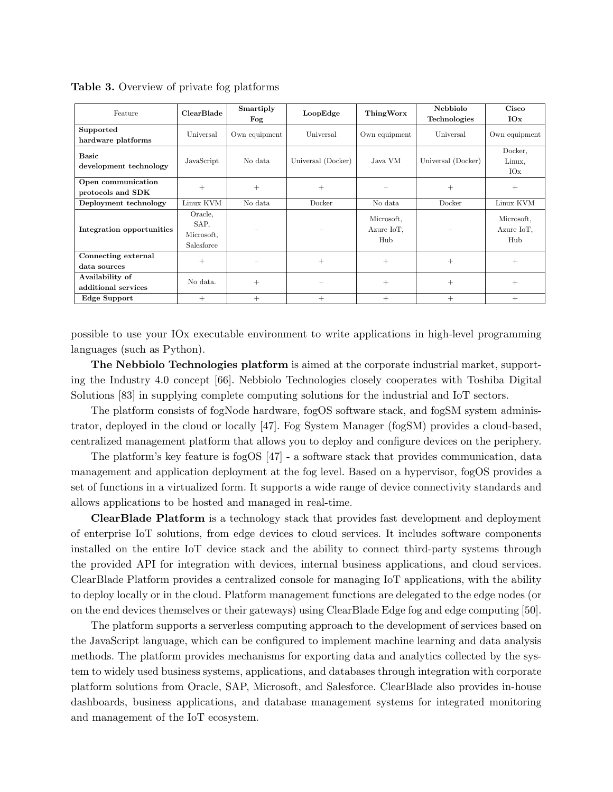| Feature                                 | <b>ClearBlade</b>                           | Smartiply<br>Fog | LoopEdge           | ThingWorx                       | Nebbiolo<br>Technologies | Cisco<br>IOx                    |
|-----------------------------------------|---------------------------------------------|------------------|--------------------|---------------------------------|--------------------------|---------------------------------|
| Supported<br>hardware platforms         | Universal                                   | Own equipment    | Universal          | Own equipment                   | Universal                | Own equipment                   |
| <b>Basic</b><br>development technology  | JavaScript                                  | No data          | Universal (Docker) | Java VM                         | Universal (Docker)       | Docker,<br>Linux,<br>IOx        |
| Open communication<br>protocols and SDK | $^{+}$                                      | $^{+}$           | $^{+}$             |                                 | $^+$                     | $\pm$                           |
| Deployment technology                   | Linux KVM                                   | No data          | Docker             | No data                         | Docker                   | Linux KVM                       |
| Integration opportunities               | Oracle,<br>SAP,<br>Microsoft,<br>Salesforce |                  |                    | Microsoft,<br>Azure IoT,<br>Hub |                          | Microsoft,<br>Azure IoT,<br>Hub |
| Connecting external<br>data sources     | $^{+}$                                      |                  | $+$                | $^{+}$                          | $^{+}$                   | $\pm$                           |
| Availability of<br>additional services  | No data.                                    | $^{+}$           |                    | $^{+}$                          | $^{+}$                   | $^{+}$                          |
| Edge Support                            | $^{+}$                                      | $^{+}$           | $^{+}$             | $^{+}$                          | $^{+}$                   | $^{+}$                          |

<span id="page-17-0"></span>Table 3. Overview of private fog platforms

possible to use your IOx executable environment to write applications in high-level programming languages (such as Python).

The Nebbiolo Technologies platform is aimed at the corporate industrial market, supporting the Industry 4.0 concept [\[66\]](#page-30-11). Nebbiolo Technologies closely cooperates with Toshiba Digital Solutions [\[83\]](#page-32-8) in supplying complete computing solutions for the industrial and IoT sectors.

The platform consists of fogNode hardware, fogOS software stack, and fogSM system administrator, deployed in the cloud or locally [\[47\]](#page-29-4). Fog System Manager (fogSM) provides a cloud-based, centralized management platform that allows you to deploy and configure devices on the periphery.

The platform's key feature is fogOS [\[47\]](#page-29-4) - a software stack that provides communication, data management and application deployment at the fog level. Based on a hypervisor, fogOS provides a set of functions in a virtualized form. It supports a wide range of device connectivity standards and allows applications to be hosted and managed in real-time.

ClearBlade Platform is a technology stack that provides fast development and deployment of enterprise IoT solutions, from edge devices to cloud services. It includes software components installed on the entire IoT device stack and the ability to connect third-party systems through the provided API for integration with devices, internal business applications, and cloud services. ClearBlade Platform provides a centralized console for managing IoT applications, with the ability to deploy locally or in the cloud. Platform management functions are delegated to the edge nodes (or on the end devices themselves or their gateways) using ClearBlade Edge fog and edge computing [\[50\]](#page-29-11).

The platform supports a serverless computing approach to the development of services based on the JavaScript language, which can be configured to implement machine learning and data analysis methods. The platform provides mechanisms for exporting data and analytics collected by the system to widely used business systems, applications, and databases through integration with corporate platform solutions from Oracle, SAP, Microsoft, and Salesforce. ClearBlade also provides in-house dashboards, business applications, and database management systems for integrated monitoring and management of the IoT ecosystem.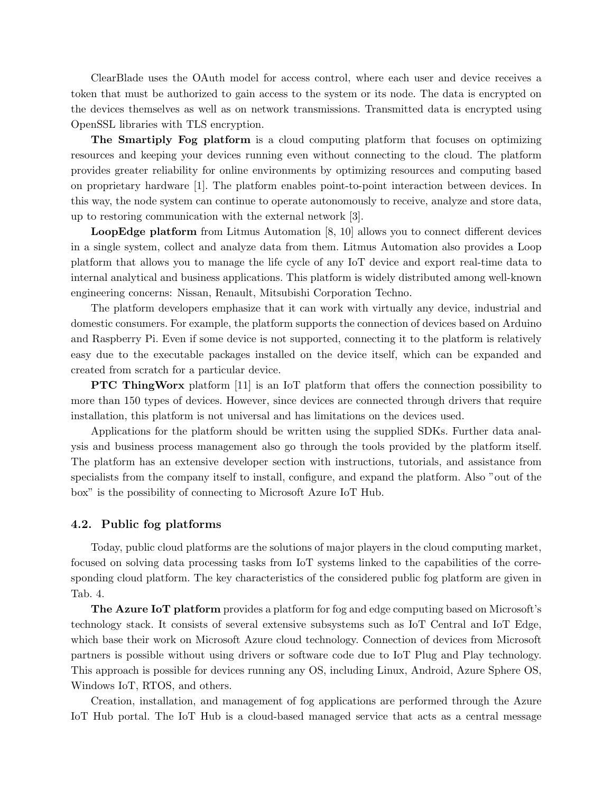ClearBlade uses the OAuth model for access control, where each user and device receives a token that must be authorized to gain access to the system or its node. The data is encrypted on the devices themselves as well as on network transmissions. Transmitted data is encrypted using OpenSSL libraries with TLS encryption.

The Smartiply Fog platform is a cloud computing platform that focuses on optimizing resources and keeping your devices running even without connecting to the cloud. The platform provides greater reliability for online environments by optimizing resources and computing based on proprietary hardware [\[1\]](#page-25-0). The platform enables point-to-point interaction between devices. In this way, the node system can continue to operate autonomously to receive, analyze and store data, up to restoring communication with the external network [\[3\]](#page-25-1).

LoopEdge platform from Litmus Automation [\[8,](#page-26-9) [10\]](#page-26-10) allows you to connect different devices in a single system, collect and analyze data from them. Litmus Automation also provides a Loop platform that allows you to manage the life cycle of any IoT device and export real-time data to internal analytical and business applications. This platform is widely distributed among well-known engineering concerns: Nissan, Renault, Mitsubishi Corporation Techno.

The platform developers emphasize that it can work with virtually any device, industrial and domestic consumers. For example, the platform supports the connection of devices based on Arduino and Raspberry Pi. Even if some device is not supported, connecting it to the platform is relatively easy due to the executable packages installed on the device itself, which can be expanded and created from scratch for a particular device.

**PTC ThingWorx** platform [\[11\]](#page-26-11) is an IoT platform that offers the connection possibility to more than 150 types of devices. However, since devices are connected through drivers that require installation, this platform is not universal and has limitations on the devices used.

Applications for the platform should be written using the supplied SDKs. Further data analysis and business process management also go through the tools provided by the platform itself. The platform has an extensive developer section with instructions, tutorials, and assistance from specialists from the company itself to install, configure, and expand the platform. Also "out of the box" is the possibility of connecting to Microsoft Azure IoT Hub.

#### 4.2. Public fog platforms

Today, public cloud platforms are the solutions of major players in the cloud computing market, focused on solving data processing tasks from IoT systems linked to the capabilities of the corresponding cloud platform. The key characteristics of the considered public fog platform are given in Tab. [4.](#page-19-0)

The Azure IoT platform provides a platform for fog and edge computing based on Microsoft's technology stack. It consists of several extensive subsystems such as IoT Central and IoT Edge, which base their work on Microsoft Azure cloud technology. Connection of devices from Microsoft partners is possible without using drivers or software code due to IoT Plug and Play technology. This approach is possible for devices running any OS, including Linux, Android, Azure Sphere OS, Windows IoT, RTOS, and others.

Creation, installation, and management of fog applications are performed through the Azure IoT Hub portal. The IoT Hub is a cloud-based managed service that acts as a central message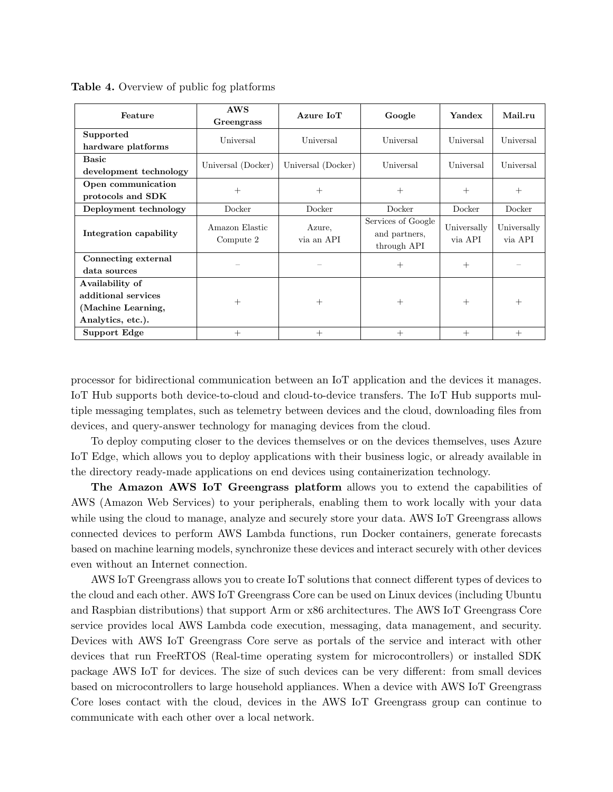| Feature                                                                           | <b>AWS</b><br>Greengrass            | Azure IoT            | Google                                             | Yandex                 | Mail.ru                |
|-----------------------------------------------------------------------------------|-------------------------------------|----------------------|----------------------------------------------------|------------------------|------------------------|
| Supported<br>hardware platforms                                                   | Universal<br>Universal<br>Universal |                      | Universal                                          | Universal              |                        |
| <b>Basic</b><br>development technology                                            | Universal (Docker)                  | Universal (Docker)   | Universal                                          | Universal              | Universal              |
| Open communication<br>protocols and SDK                                           | $^{+}$                              | $^{+}$               | $^{+}$                                             | $^{+}$                 | $^{+}$                 |
| Deployment technology                                                             | Docker                              | Docker               | Docker                                             | Docker                 | Docker                 |
| Integration capability                                                            | Amazon Elastic<br>Compute 2         | Azure,<br>via an API | Services of Google<br>and partners,<br>through API | Universally<br>via API | Universally<br>via API |
| Connecting external<br>data sources                                               |                                     |                      | $^{+}$                                             | $^{+}$                 |                        |
| Availability of<br>additional services<br>(Machine Learning,<br>Analytics, etc.). | $^{+}$                              | $+$                  | $^{+}$                                             | $+$                    | $^{+}$                 |
| Support Edge                                                                      | $^{+}$                              | $^{+}$               | $^{+}$                                             | $^{+}$                 | $+$                    |

<span id="page-19-0"></span>Table 4. Overview of public fog platforms

processor for bidirectional communication between an IoT application and the devices it manages. IoT Hub supports both device-to-cloud and cloud-to-device transfers. The IoT Hub supports multiple messaging templates, such as telemetry between devices and the cloud, downloading files from devices, and query-answer technology for managing devices from the cloud.

To deploy computing closer to the devices themselves or on the devices themselves, uses Azure IoT Edge, which allows you to deploy applications with their business logic, or already available in the directory ready-made applications on end devices using containerization technology.

The Amazon AWS IoT Greengrass platform allows you to extend the capabilities of AWS (Amazon Web Services) to your peripherals, enabling them to work locally with your data while using the cloud to manage, analyze and securely store your data. AWS IoT Greengrass allows connected devices to perform AWS Lambda functions, run Docker containers, generate forecasts based on machine learning models, synchronize these devices and interact securely with other devices even without an Internet connection.

AWS IoT Greengrass allows you to create IoT solutions that connect different types of devices to the cloud and each other. AWS IoT Greengrass Core can be used on Linux devices (including Ubuntu and Raspbian distributions) that support Arm or x86 architectures. The AWS IoT Greengrass Core service provides local AWS Lambda code execution, messaging, data management, and security. Devices with AWS IoT Greengrass Core serve as portals of the service and interact with other devices that run FreeRTOS (Real-time operating system for microcontrollers) or installed SDK package AWS IoT for devices. The size of such devices can be very different: from small devices based on microcontrollers to large household appliances. When a device with AWS IoT Greengrass Core loses contact with the cloud, devices in the AWS IoT Greengrass group can continue to communicate with each other over a local network.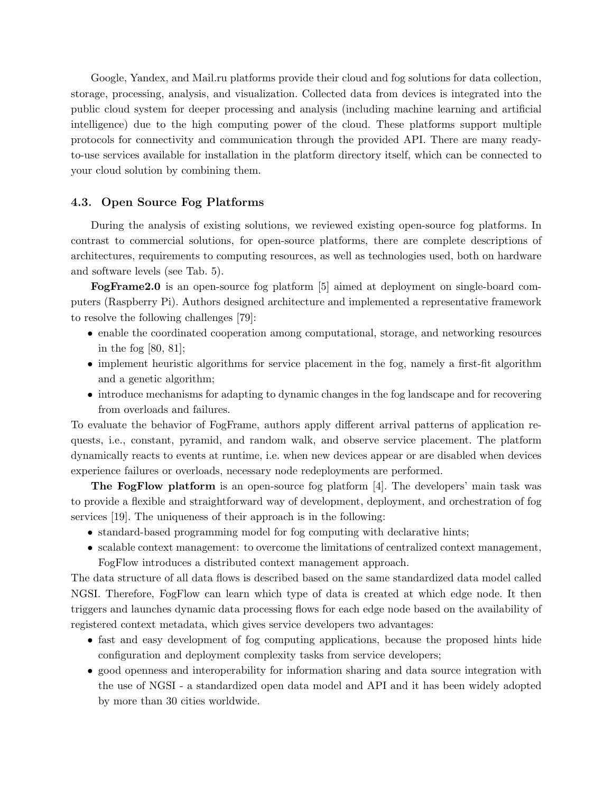Google, Yandex, and Mail.ru platforms provide their cloud and fog solutions for data collection, storage, processing, analysis, and visualization. Collected data from devices is integrated into the public cloud system for deeper processing and analysis (including machine learning and artificial intelligence) due to the high computing power of the cloud. These platforms support multiple protocols for connectivity and communication through the provided API. There are many readyto-use services available for installation in the platform directory itself, which can be connected to your cloud solution by combining them.

#### 4.3. Open Source Fog Platforms

During the analysis of existing solutions, we reviewed existing open-source fog platforms. In contrast to commercial solutions, for open-source platforms, there are complete descriptions of architectures, requirements to computing resources, as well as technologies used, both on hardware and software levels (see Tab. [5\)](#page-21-0).

FogFrame2.0 is an open-source fog platform [\[5\]](#page-26-12) aimed at deployment on single-board computers (Raspberry Pi). Authors designed architecture and implemented a representative framework to resolve the following challenges [\[79\]](#page-31-9):

- enable the coordinated cooperation among computational, storage, and networking resources in the fog [\[80,](#page-31-10) [81\]](#page-32-9);
- implement heuristic algorithms for service placement in the fog, namely a first-fit algorithm and a genetic algorithm;
- introduce mechanisms for adapting to dynamic changes in the fog landscape and for recovering from overloads and failures.

To evaluate the behavior of FogFrame, authors apply different arrival patterns of application requests, i.e., constant, pyramid, and random walk, and observe service placement. The platform dynamically reacts to events at runtime, i.e. when new devices appear or are disabled when devices experience failures or overloads, necessary node redeployments are performed.

The FogFlow platform is an open-source fog platform [\[4\]](#page-25-2). The developers' main task was to provide a flexible and straightforward way of development, deployment, and orchestration of fog services [\[19\]](#page-26-0). The uniqueness of their approach is in the following:

- standard-based programming model for fog computing with declarative hints;
- scalable context management: to overcome the limitations of centralized context management, FogFlow introduces a distributed context management approach.

The data structure of all data flows is described based on the same standardized data model called NGSI. Therefore, FogFlow can learn which type of data is created at which edge node. It then triggers and launches dynamic data processing flows for each edge node based on the availability of registered context metadata, which gives service developers two advantages:

- fast and easy development of fog computing applications, because the proposed hints hide configuration and deployment complexity tasks from service developers;
- good openness and interoperability for information sharing and data source integration with the use of NGSI - a standardized open data model and API and it has been widely adopted by more than 30 cities worldwide.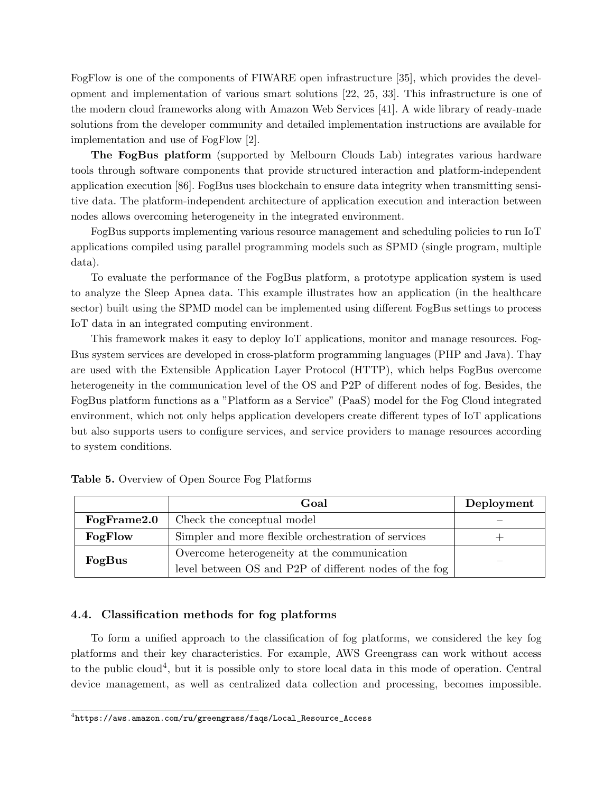FogFlow is one of the components of FIWARE open infrastructure [\[35\]](#page-28-9), which provides the development and implementation of various smart solutions [\[22,](#page-27-11) [25,](#page-27-0) [33\]](#page-28-10). This infrastructure is one of the modern cloud frameworks along with Amazon Web Services [\[41\]](#page-28-11). A wide library of ready-made solutions from the developer community and detailed implementation instructions are available for implementation and use of FogFlow [\[2\]](#page-25-3).

The FogBus platform (supported by Melbourn Clouds Lab) integrates various hardware tools through software components that provide structured interaction and platform-independent application execution [\[86\]](#page-32-4). FogBus uses blockchain to ensure data integrity when transmitting sensitive data. The platform-independent architecture of application execution and interaction between nodes allows overcoming heterogeneity in the integrated environment.

FogBus supports implementing various resource management and scheduling policies to run IoT applications compiled using parallel programming models such as SPMD (single program, multiple data).

To evaluate the performance of the FogBus platform, a prototype application system is used to analyze the Sleep Apnea data. This example illustrates how an application (in the healthcare sector) built using the SPMD model can be implemented using different FogBus settings to process IoT data in an integrated computing environment.

This framework makes it easy to deploy IoT applications, monitor and manage resources. Fog-Bus system services are developed in cross-platform programming languages (PHP and Java). Thay are used with the Extensible Application Layer Protocol (HTTP), which helps FogBus overcome heterogeneity in the communication level of the OS and P2P of different nodes of fog. Besides, the FogBus platform functions as a "Platform as a Service" (PaaS) model for the Fog Cloud integrated environment, which not only helps application developers create different types of IoT applications but also supports users to configure services, and service providers to manage resources according to system conditions.

|             | Goal                                                   | Deployment |
|-------------|--------------------------------------------------------|------------|
| FogFrame2.0 | Check the conceptual model                             |            |
| FogFlow     | Simpler and more flexible orchestration of services    |            |
| FogBus      | Overcome heterogeneity at the communication            |            |
|             | level between OS and P2P of different nodes of the fog |            |

<span id="page-21-0"></span>

|  |  | Table 5. Overview of Open Source Fog Platforms |  |  |  |  |
|--|--|------------------------------------------------|--|--|--|--|
|--|--|------------------------------------------------|--|--|--|--|

### 4.4. Classification methods for fog platforms

To form a unified approach to the classification of fog platforms, we considered the key fog platforms and their key characteristics. For example, AWS Greengrass can work without access to the public cloud<sup>[4](#page-21-1)</sup>, but it is possible only to store local data in this mode of operation. Central device management, as well as centralized data collection and processing, becomes impossible.

<span id="page-21-1"></span> $^4$ [https://aws.amazon.com/ru/greengrass/faqs/Local\\_Resource\\_Access](https://aws.amazon.com/ru/greengrass/faqs/Local_Resource_Access)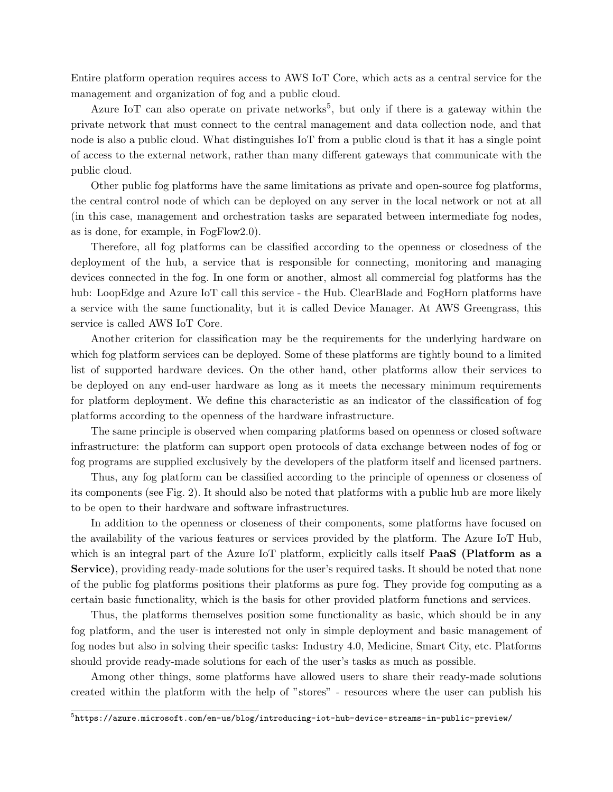Entire platform operation requires access to AWS IoT Core, which acts as a central service for the management and organization of fog and a public cloud.

Azure IoT can also operate on private networks<sup>[5](#page-22-0)</sup>, but only if there is a gateway within the private network that must connect to the central management and data collection node, and that node is also a public cloud. What distinguishes IoT from a public cloud is that it has a single point of access to the external network, rather than many different gateways that communicate with the public cloud.

Other public fog platforms have the same limitations as private and open-source fog platforms, the central control node of which can be deployed on any server in the local network or not at all (in this case, management and orchestration tasks are separated between intermediate fog nodes, as is done, for example, in FogFlow2.0).

Therefore, all fog platforms can be classified according to the openness or closedness of the deployment of the hub, a service that is responsible for connecting, monitoring and managing devices connected in the fog. In one form or another, almost all commercial fog platforms has the hub: LoopEdge and Azure IoT call this service - the Hub. ClearBlade and FogHorn platforms have a service with the same functionality, but it is called Device Manager. At AWS Greengrass, this service is called AWS IoT Core.

Another criterion for classification may be the requirements for the underlying hardware on which fog platform services can be deployed. Some of these platforms are tightly bound to a limited list of supported hardware devices. On the other hand, other platforms allow their services to be deployed on any end-user hardware as long as it meets the necessary minimum requirements for platform deployment. We define this characteristic as an indicator of the classification of fog platforms according to the openness of the hardware infrastructure.

The same principle is observed when comparing platforms based on openness or closed software infrastructure: the platform can support open protocols of data exchange between nodes of fog or fog programs are supplied exclusively by the developers of the platform itself and licensed partners.

Thus, any fog platform can be classified according to the principle of openness or closeness of its components (see Fig. 2). It should also be noted that platforms with a public hub are more likely to be open to their hardware and software infrastructures.

In addition to the openness or closeness of their components, some platforms have focused on the availability of the various features or services provided by the platform. The Azure IoT Hub, which is an integral part of the Azure IoT platform, explicitly calls itself **PaaS** (Platform as a Service), providing ready-made solutions for the user's required tasks. It should be noted that none of the public fog platforms positions their platforms as pure fog. They provide fog computing as a certain basic functionality, which is the basis for other provided platform functions and services.

Thus, the platforms themselves position some functionality as basic, which should be in any fog platform, and the user is interested not only in simple deployment and basic management of fog nodes but also in solving their specific tasks: Industry 4.0, Medicine, Smart City, etc. Platforms should provide ready-made solutions for each of the user's tasks as much as possible.

Among other things, some platforms have allowed users to share their ready-made solutions created within the platform with the help of "stores" - resources where the user can publish his

<span id="page-22-0"></span> $^5$ <https://azure.microsoft.com/en-us/blog/introducing-iot-hub-device-streams-in-public-preview/>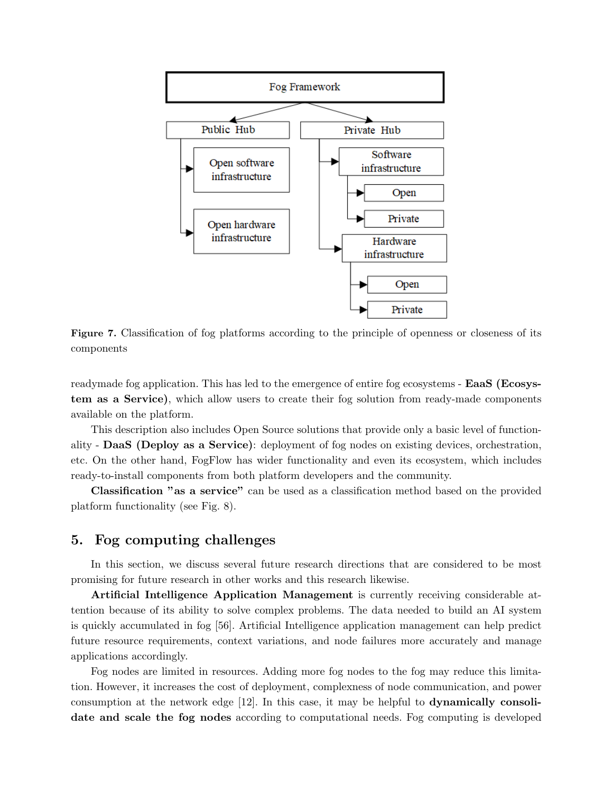

Figure 7. Classification of fog platforms according to the principle of openness or closeness of its components

readymade fog application. This has led to the emergence of entire fog ecosystems - EaaS (Ecosystem as a Service), which allow users to create their fog solution from ready-made components available on the platform.

This description also includes Open Source solutions that provide only a basic level of functionality - DaaS (Deploy as a Service): deployment of fog nodes on existing devices, orchestration, etc. On the other hand, FogFlow has wider functionality and even its ecosystem, which includes ready-to-install components from both platform developers and the community.

Classification "as a service" can be used as a classification method based on the provided platform functionality (see Fig. [8\)](#page-24-0).

## 5. Fog computing challenges

In this section, we discuss several future research directions that are considered to be most promising for future research in other works and this research likewise.

Artificial Intelligence Application Management is currently receiving considerable attention because of its ability to solve complex problems. The data needed to build an AI system is quickly accumulated in fog [\[56\]](#page-29-12). Artificial Intelligence application management can help predict future resource requirements, context variations, and node failures more accurately and manage applications accordingly.

Fog nodes are limited in resources. Adding more fog nodes to the fog may reduce this limitation. However, it increases the cost of deployment, complexness of node communication, and power consumption at the network edge [\[12\]](#page-26-13). In this case, it may be helpful to dynamically consolidate and scale the fog nodes according to computational needs. Fog computing is developed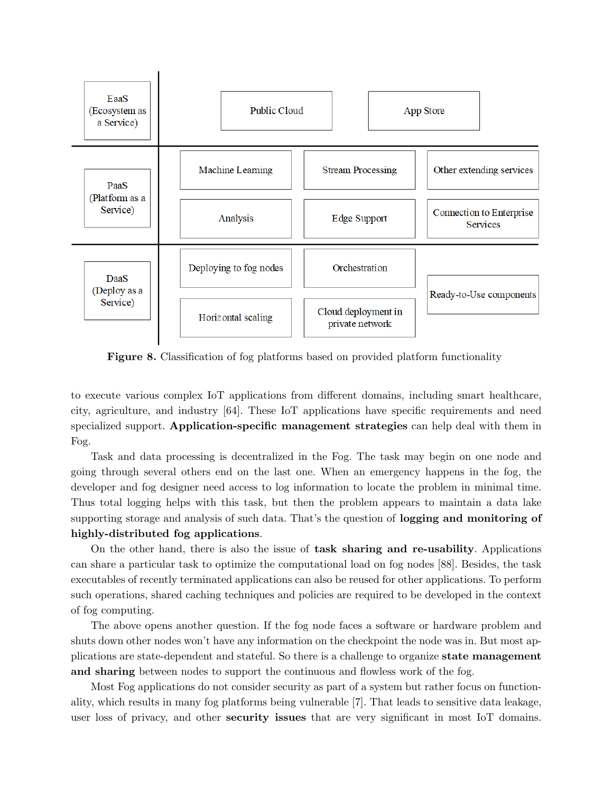<span id="page-24-0"></span>

Figure 8. Classification of fog platforms based on provided platform functionality

to execute various complex IoT applications from different domains, including smart healthcare, city, agriculture, and industry [\[64\]](#page-30-12). These IoT applications have specific requirements and need specialized support. Application-specific management strategies can help deal with them in Fog.

Task and data processing is decentralized in the Fog. The task may begin on one node and going through several others end on the last one. When an emergency happens in the fog, the developer and fog designer need access to log information to locate the problem in minimal time. Thus total logging helps with this task, but then the problem appears to maintain a data lake supporting storage and analysis of such data. That's the question of **logging and monitoring of** highly-distributed fog applications.

On the other hand, there is also the issue of task sharing and re-usability. Applications can share a particular task to optimize the computational load on fog nodes [\[88\]](#page-32-10). Besides, the task executables of recently terminated applications can also be reused for other applications. To perform such operations, shared caching techniques and policies are required to be developed in the context of fog computing.

The above opens another question. If the fog node faces a software or hardware problem and shuts down other nodes won't have any information on the checkpoint the node was in. But most applications are state-dependent and stateful. So there is a challenge to organize state management and sharing between nodes to support the continuous and flowless work of the fog.

Most Fog applications do not consider security as part of a system but rather focus on functionality, which results in many fog platforms being vulnerable [\[7\]](#page-26-14). That leads to sensitive data leakage, user loss of privacy, and other **security issues** that are very significant in most IoT domains.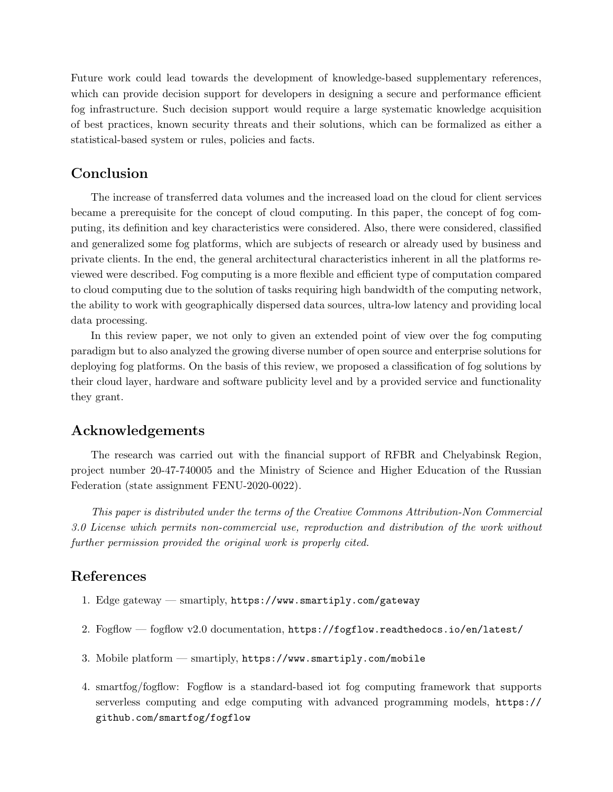Future work could lead towards the development of knowledge-based supplementary references, which can provide decision support for developers in designing a secure and performance efficient fog infrastructure. Such decision support would require a large systematic knowledge acquisition of best practices, known security threats and their solutions, which can be formalized as either a statistical-based system or rules, policies and facts.

## Conclusion

The increase of transferred data volumes and the increased load on the cloud for client services became a prerequisite for the concept of cloud computing. In this paper, the concept of fog computing, its definition and key characteristics were considered. Also, there were considered, classified and generalized some fog platforms, which are subjects of research or already used by business and private clients. In the end, the general architectural characteristics inherent in all the platforms reviewed were described. Fog computing is a more flexible and efficient type of computation compared to cloud computing due to the solution of tasks requiring high bandwidth of the computing network, the ability to work with geographically dispersed data sources, ultra-low latency and providing local data processing.

In this review paper, we not only to given an extended point of view over the fog computing paradigm but to also analyzed the growing diverse number of open source and enterprise solutions for deploying fog platforms. On the basis of this review, we proposed a classification of fog solutions by their cloud layer, hardware and software publicity level and by a provided service and functionality they grant.

## Acknowledgements

The research was carried out with the financial support of RFBR and Chelyabinsk Region, project number 20-47-740005 and the Ministry of Science and Higher Education of the Russian Federation (state assignment FENU-2020-0022).

This paper is distributed under the terms of the Creative Commons Attribution-Non Commercial 3.0 License which permits non-commercial use, reproduction and distribution of the work without further permission provided the original work is properly cited.

## <span id="page-25-0"></span>References

- 1. Edge gateway smartiply, <https://www.smartiply.com/gateway>
- <span id="page-25-3"></span>2. Fogflow — fogflow v2.0 documentation, <https://fogflow.readthedocs.io/en/latest/>
- <span id="page-25-1"></span>3. Mobile platform — smartiply, <https://www.smartiply.com/mobile>
- <span id="page-25-2"></span>4. smartfog/fogflow: Fogflow is a standard-based iot fog computing framework that supports serverless computing and edge computing with advanced programming models, [https://](https://github.com/smartfog/fogflow) [github.com/smartfog/fogflow](https://github.com/smartfog/fogflow)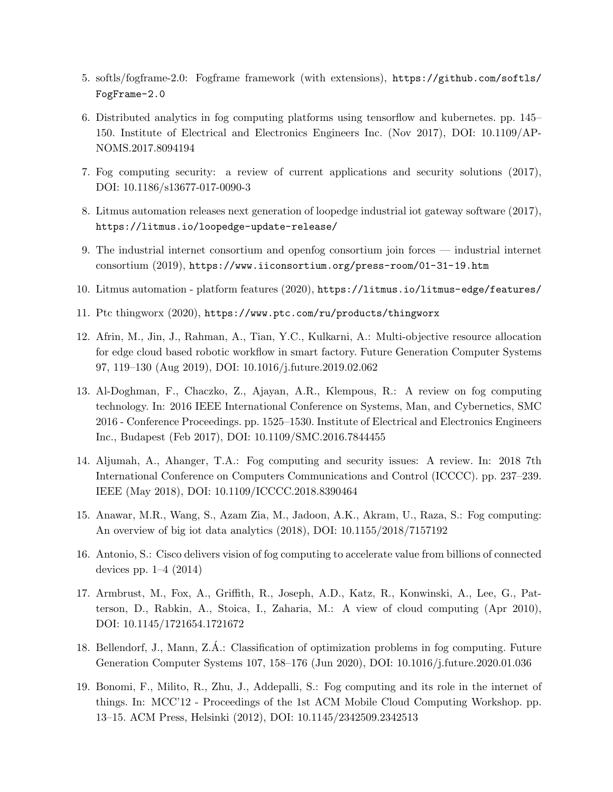- <span id="page-26-12"></span>5. softls/fogframe-2.0: Fogframe framework (with extensions), [https://github.com/softls/](https://github.com/softls/FogFrame-2.0) [FogFrame-2.0](https://github.com/softls/FogFrame-2.0)
- <span id="page-26-7"></span>6. Distributed analytics in fog computing platforms using tensorflow and kubernetes. pp. 145– 150. Institute of Electrical and Electronics Engineers Inc. (Nov 2017), DOI: [10.1109/AP-](http://dx.doi.org/10.1109/APNOMS.2017.8094194)[NOMS.2017.8094194](http://dx.doi.org/10.1109/APNOMS.2017.8094194)
- <span id="page-26-14"></span>7. Fog computing security: a review of current applications and security solutions (2017), DOI: [10.1186/s13677-017-0090-3](http://dx.doi.org/10.1186/s13677-017-0090-3)
- <span id="page-26-9"></span>8. Litmus automation releases next generation of loopedge industrial iot gateway software (2017), <https://litmus.io/loopedge-update-release/>
- <span id="page-26-2"></span>9. The industrial internet consortium and openfog consortium join forces — industrial internet consortium (2019), <https://www.iiconsortium.org/press-room/01-31-19.htm>
- <span id="page-26-10"></span>10. Litmus automation - platform features (2020), <https://litmus.io/litmus-edge/features/>
- <span id="page-26-11"></span>11. Ptc thingworx (2020), <https://www.ptc.com/ru/products/thingworx>
- <span id="page-26-13"></span>12. Afrin, M., Jin, J., Rahman, A., Tian, Y.C., Kulkarni, A.: Multi-objective resource allocation for edge cloud based robotic workflow in smart factory. Future Generation Computer Systems 97, 119–130 (Aug 2019), DOI: [10.1016/j.future.2019.02.062](http://dx.doi.org/10.1016/j.future.2019.02.062)
- <span id="page-26-3"></span>13. Al-Doghman, F., Chaczko, Z., Ajayan, A.R., Klempous, R.: A review on fog computing technology. In: 2016 IEEE International Conference on Systems, Man, and Cybernetics, SMC 2016 - Conference Proceedings. pp. 1525–1530. Institute of Electrical and Electronics Engineers Inc., Budapest (Feb 2017), DOI: [10.1109/SMC.2016.7844455](http://dx.doi.org/10.1109/SMC.2016.7844455)
- <span id="page-26-6"></span>14. Aljumah, A., Ahanger, T.A.: Fog computing and security issues: A review. In: 2018 7th International Conference on Computers Communications and Control (ICCCC). pp. 237–239. IEEE (May 2018), DOI: [10.1109/ICCCC.2018.8390464](http://dx.doi.org/10.1109/ICCCC.2018.8390464)
- <span id="page-26-4"></span>15. Anawar, M.R., Wang, S., Azam Zia, M., Jadoon, A.K., Akram, U., Raza, S.: Fog computing: An overview of big iot data analytics (2018), DOI: [10.1155/2018/7157192](http://dx.doi.org/10.1155/2018/7157192)
- <span id="page-26-8"></span>16. Antonio, S.: Cisco delivers vision of fog computing to accelerate value from billions of connected devices pp. 1–4 (2014)
- <span id="page-26-1"></span>17. Armbrust, M., Fox, A., Griffith, R., Joseph, A.D., Katz, R., Konwinski, A., Lee, G., Patterson, D., Rabkin, A., Stoica, I., Zaharia, M.: A view of cloud computing (Apr 2010), DOI: [10.1145/1721654.1721672](http://dx.doi.org/10.1145/1721654.1721672)
- <span id="page-26-5"></span>18. Bellendorf, J., Mann, Z.A.: Classification of optimization problems in fog computing. Future ´ Generation Computer Systems 107, 158–176 (Jun 2020), DOI: [10.1016/j.future.2020.01.036](http://dx.doi.org/10.1016/j.future.2020.01.036)
- <span id="page-26-0"></span>19. Bonomi, F., Milito, R., Zhu, J., Addepalli, S.: Fog computing and its role in the internet of things. In: MCC'12 - Proceedings of the 1st ACM Mobile Cloud Computing Workshop. pp. 13–15. ACM Press, Helsinki (2012), DOI: [10.1145/2342509.2342513](http://dx.doi.org/10.1145/2342509.2342513)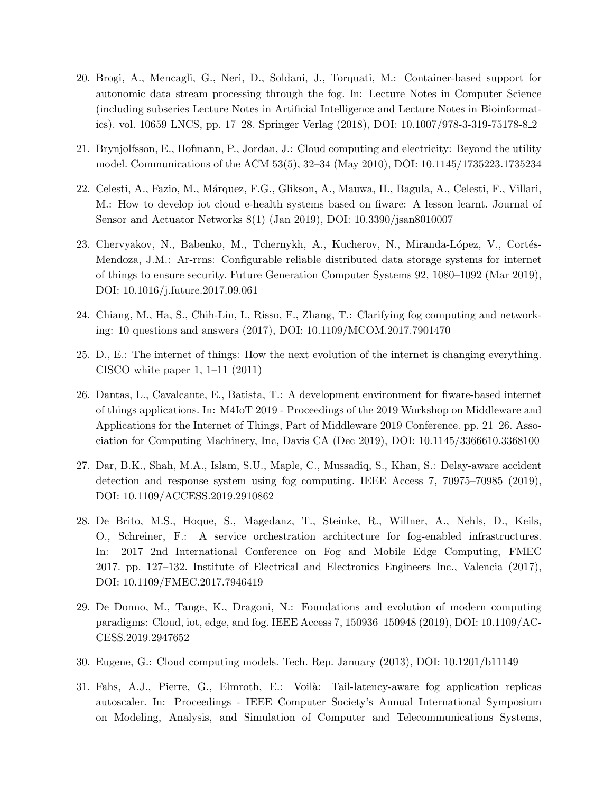- <span id="page-27-10"></span>20. Brogi, A., Mencagli, G., Neri, D., Soldani, J., Torquati, M.: Container-based support for autonomic data stream processing through the fog. In: Lecture Notes in Computer Science (including subseries Lecture Notes in Artificial Intelligence and Lecture Notes in Bioinformatics). vol. 10659 LNCS, pp. 17–28. Springer Verlag (2018), DOI: [10.1007/978-3-319-75178-8](http://dx.doi.org/10.1007/978-3-319-75178-8_2) 2
- <span id="page-27-1"></span>21. Brynjolfsson, E., Hofmann, P., Jordan, J.: Cloud computing and electricity: Beyond the utility model. Communications of the ACM 53(5), 32–34 (May 2010), DOI: [10.1145/1735223.1735234](http://dx.doi.org/10.1145/1735223.1735234)
- <span id="page-27-11"></span>22. Celesti, A., Fazio, M., M´arquez, F.G., Glikson, A., Mauwa, H., Bagula, A., Celesti, F., Villari, M.: How to develop iot cloud e-health systems based on fiware: A lesson learnt. Journal of Sensor and Actuator Networks 8(1) (Jan 2019), DOI: [10.3390/jsan8010007](http://dx.doi.org/10.3390/jsan8010007)
- <span id="page-27-8"></span>23. Chervyakov, N., Babenko, M., Tchernykh, A., Kucherov, N., Miranda-López, V., Cortés-Mendoza, J.M.: Ar-rrns: Configurable reliable distributed data storage systems for internet of things to ensure security. Future Generation Computer Systems 92, 1080–1092 (Mar 2019), DOI: [10.1016/j.future.2017.09.061](http://dx.doi.org/10.1016/j.future.2017.09.061)
- <span id="page-27-5"></span>24. Chiang, M., Ha, S., Chih-Lin, I., Risso, F., Zhang, T.: Clarifying fog computing and networking: 10 questions and answers (2017), DOI: [10.1109/MCOM.2017.7901470](http://dx.doi.org/10.1109/MCOM.2017.7901470)
- <span id="page-27-0"></span>25. D., E.: The internet of things: How the next evolution of the internet is changing everything. CISCO white paper 1,  $1-11$  (2011)
- <span id="page-27-4"></span>26. Dantas, L., Cavalcante, E., Batista, T.: A development environment for fiware-based internet of things applications. In: M4IoT 2019 - Proceedings of the 2019 Workshop on Middleware and Applications for the Internet of Things, Part of Middleware 2019 Conference. pp. 21–26. Association for Computing Machinery, Inc, Davis CA (Dec 2019), DOI: [10.1145/3366610.3368100](http://dx.doi.org/10.1145/3366610.3368100)
- <span id="page-27-3"></span>27. Dar, B.K., Shah, M.A., Islam, S.U., Maple, C., Mussadiq, S., Khan, S.: Delay-aware accident detection and response system using fog computing. IEEE Access 7, 70975–70985 (2019), DOI: [10.1109/ACCESS.2019.2910862](http://dx.doi.org/10.1109/ACCESS.2019.2910862)
- <span id="page-27-7"></span>28. De Brito, M.S., Hoque, S., Magedanz, T., Steinke, R., Willner, A., Nehls, D., Keils, O., Schreiner, F.: A service orchestration architecture for fog-enabled infrastructures. In: 2017 2nd International Conference on Fog and Mobile Edge Computing, FMEC 2017. pp. 127–132. Institute of Electrical and Electronics Engineers Inc., Valencia (2017), DOI: [10.1109/FMEC.2017.7946419](http://dx.doi.org/10.1109/FMEC.2017.7946419)
- <span id="page-27-6"></span>29. De Donno, M., Tange, K., Dragoni, N.: Foundations and evolution of modern computing paradigms: Cloud, iot, edge, and fog. IEEE Access 7, 150936–150948 (2019), DOI: [10.1109/AC-](http://dx.doi.org/10.1109/ACCESS.2019.2947652)[CESS.2019.2947652](http://dx.doi.org/10.1109/ACCESS.2019.2947652)
- <span id="page-27-2"></span>30. Eugene, G.: Cloud computing models. Tech. Rep. January (2013), DOI: [10.1201/b11149](http://dx.doi.org/10.1201/b11149)
- <span id="page-27-9"></span>31. Fahs, A.J., Pierre, G., Elmroth, E.: Voilà: Tail-latency-aware fog application replicas autoscaler. In: Proceedings - IEEE Computer Society's Annual International Symposium on Modeling, Analysis, and Simulation of Computer and Telecommunications Systems,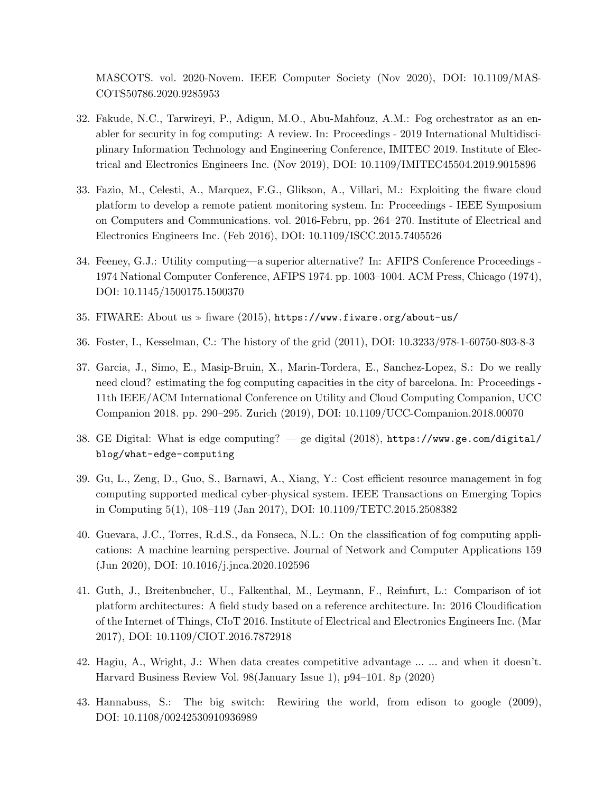MASCOTS. vol. 2020-Novem. IEEE Computer Society (Nov 2020), DOI: [10.1109/MAS-](http://dx.doi.org/10.1109/MASCOTS50786.2020.9285953)[COTS50786.2020.9285953](http://dx.doi.org/10.1109/MASCOTS50786.2020.9285953)

- <span id="page-28-8"></span>32. Fakude, N.C., Tarwireyi, P., Adigun, M.O., Abu-Mahfouz, A.M.: Fog orchestrator as an enabler for security in fog computing: A review. In: Proceedings - 2019 International Multidisciplinary Information Technology and Engineering Conference, IMITEC 2019. Institute of Electrical and Electronics Engineers Inc. (Nov 2019), DOI: [10.1109/IMITEC45504.2019.9015896](http://dx.doi.org/10.1109/IMITEC45504.2019.9015896)
- <span id="page-28-10"></span>33. Fazio, M., Celesti, A., Marquez, F.G., Glikson, A., Villari, M.: Exploiting the fiware cloud platform to develop a remote patient monitoring system. In: Proceedings - IEEE Symposium on Computers and Communications. vol. 2016-Febru, pp. 264–270. Institute of Electrical and Electronics Engineers Inc. (Feb 2016), DOI: [10.1109/ISCC.2015.7405526](http://dx.doi.org/10.1109/ISCC.2015.7405526)
- <span id="page-28-1"></span>34. Feeney, G.J.: Utility computing—a superior alternative? In: AFIPS Conference Proceedings - 1974 National Computer Conference, AFIPS 1974. pp. 1003–1004. ACM Press, Chicago (1974), DOI: [10.1145/1500175.1500370](http://dx.doi.org/10.1145/1500175.1500370)
- <span id="page-28-9"></span>35. FIWARE: About us  $\gg$  fiware (2015), <https://www.fiware.org/about-us/>
- <span id="page-28-3"></span>36. Foster, I., Kesselman, C.: The history of the grid (2011), DOI: [10.3233/978-1-60750-803-8-3](http://dx.doi.org/10.3233/978-1-60750-803-8-3)
- <span id="page-28-5"></span>37. Garcia, J., Simo, E., Masip-Bruin, X., Marin-Tordera, E., Sanchez-Lopez, S.: Do we really need cloud? estimating the fog computing capacities in the city of barcelona. In: Proceedings - 11th IEEE/ACM International Conference on Utility and Cloud Computing Companion, UCC Companion 2018. pp. 290–295. Zurich (2019), DOI: [10.1109/UCC-Companion.2018.00070](http://dx.doi.org/10.1109/UCC-Companion.2018.00070)
- <span id="page-28-6"></span>38. GE Digital: What is edge computing? — ge digital (2018), [https://www.ge.com/digital/](https://www.ge.com/digital/blog/what-edge-computing) [blog/what-edge-computing](https://www.ge.com/digital/blog/what-edge-computing)
- <span id="page-28-4"></span>39. Gu, L., Zeng, D., Guo, S., Barnawi, A., Xiang, Y.: Cost efficient resource management in fog computing supported medical cyber-physical system. IEEE Transactions on Emerging Topics in Computing 5(1), 108–119 (Jan 2017), DOI: [10.1109/TETC.2015.2508382](http://dx.doi.org/10.1109/TETC.2015.2508382)
- <span id="page-28-7"></span>40. Guevara, J.C., Torres, R.d.S., da Fonseca, N.L.: On the classification of fog computing applications: A machine learning perspective. Journal of Network and Computer Applications 159 (Jun 2020), DOI: [10.1016/j.jnca.2020.102596](http://dx.doi.org/10.1016/j.jnca.2020.102596)
- <span id="page-28-11"></span>41. Guth, J., Breitenbucher, U., Falkenthal, M., Leymann, F., Reinfurt, L.: Comparison of iot platform architectures: A field study based on a reference architecture. In: 2016 Cloudification of the Internet of Things, CIoT 2016. Institute of Electrical and Electronics Engineers Inc. (Mar 2017), DOI: [10.1109/CIOT.2016.7872918](http://dx.doi.org/10.1109/CIOT.2016.7872918)
- <span id="page-28-0"></span>42. Hagiu, A., Wright, J.: When data creates competitive advantage ... ... and when it doesn't. Harvard Business Review Vol. 98(January Issue 1), p94–101. 8p (2020)
- <span id="page-28-2"></span>43. Hannabuss, S.: The big switch: Rewiring the world, from edison to google (2009), DOI: [10.1108/00242530910936989](http://dx.doi.org/10.1108/00242530910936989)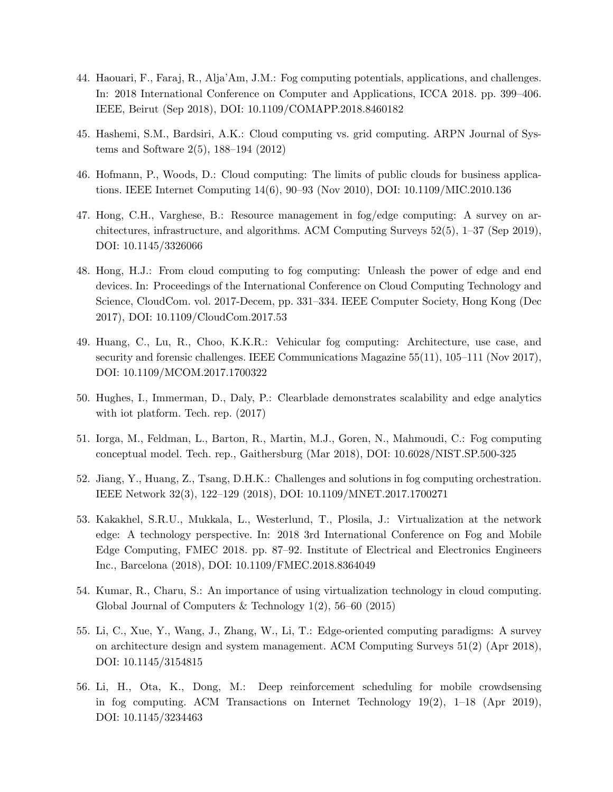- <span id="page-29-6"></span>44. Haouari, F., Faraj, R., Alja'Am, J.M.: Fog computing potentials, applications, and challenges. In: 2018 International Conference on Computer and Applications, ICCA 2018. pp. 399–406. IEEE, Beirut (Sep 2018), DOI: [10.1109/COMAPP.2018.8460182](http://dx.doi.org/10.1109/COMAPP.2018.8460182)
- <span id="page-29-5"></span>45. Hashemi, S.M., Bardsiri, A.K.: Cloud computing vs. grid computing. ARPN Journal of Systems and Software 2(5), 188–194 (2012)
- <span id="page-29-1"></span>46. Hofmann, P., Woods, D.: Cloud computing: The limits of public clouds for business applications. IEEE Internet Computing 14(6), 90–93 (Nov 2010), DOI: [10.1109/MIC.2010.136](http://dx.doi.org/10.1109/MIC.2010.136)
- <span id="page-29-4"></span>47. Hong, C.H., Varghese, B.: Resource management in fog/edge computing: A survey on architectures, infrastructure, and algorithms. ACM Computing Surveys 52(5), 1–37 (Sep 2019), DOI: [10.1145/3326066](http://dx.doi.org/10.1145/3326066)
- <span id="page-29-2"></span>48. Hong, H.J.: From cloud computing to fog computing: Unleash the power of edge and end devices. In: Proceedings of the International Conference on Cloud Computing Technology and Science, CloudCom. vol. 2017-Decem, pp. 331–334. IEEE Computer Society, Hong Kong (Dec 2017), DOI: [10.1109/CloudCom.2017.53](http://dx.doi.org/10.1109/CloudCom.2017.53)
- <span id="page-29-7"></span>49. Huang, C., Lu, R., Choo, K.K.R.: Vehicular fog computing: Architecture, use case, and security and forensic challenges. IEEE Communications Magazine  $55(11)$ ,  $105-111$  (Nov 2017), DOI: [10.1109/MCOM.2017.1700322](http://dx.doi.org/10.1109/MCOM.2017.1700322)
- <span id="page-29-11"></span>50. Hughes, I., Immerman, D., Daly, P.: Clearblade demonstrates scalability and edge analytics with iot platform. Tech. rep. (2017)
- <span id="page-29-3"></span>51. Iorga, M., Feldman, L., Barton, R., Martin, M.J., Goren, N., Mahmoudi, C.: Fog computing conceptual model. Tech. rep., Gaithersburg (Mar 2018), DOI: [10.6028/NIST.SP.500-325](http://dx.doi.org/10.6028/NIST.SP.500-325)
- <span id="page-29-10"></span>52. Jiang, Y., Huang, Z., Tsang, D.H.K.: Challenges and solutions in fog computing orchestration. IEEE Network 32(3), 122–129 (2018), DOI: [10.1109/MNET.2017.1700271](http://dx.doi.org/10.1109/MNET.2017.1700271)
- <span id="page-29-9"></span>53. Kakakhel, S.R.U., Mukkala, L., Westerlund, T., Plosila, J.: Virtualization at the network edge: A technology perspective. In: 2018 3rd International Conference on Fog and Mobile Edge Computing, FMEC 2018. pp. 87–92. Institute of Electrical and Electronics Engineers Inc., Barcelona (2018), DOI: [10.1109/FMEC.2018.8364049](http://dx.doi.org/10.1109/FMEC.2018.8364049)
- <span id="page-29-0"></span>54. Kumar, R., Charu, S.: An importance of using virtualization technology in cloud computing. Global Journal of Computers  $\&$  Technology 1(2), 56–60 (2015)
- <span id="page-29-8"></span>55. Li, C., Xue, Y., Wang, J., Zhang, W., Li, T.: Edge-oriented computing paradigms: A survey on architecture design and system management. ACM Computing Surveys 51(2) (Apr 2018), DOI: [10.1145/3154815](http://dx.doi.org/10.1145/3154815)
- <span id="page-29-12"></span>56. Li, H., Ota, K., Dong, M.: Deep reinforcement scheduling for mobile crowdsensing in fog computing. ACM Transactions on Internet Technology  $19(2)$ ,  $1-18$  (Apr 2019), DOI: [10.1145/3234463](http://dx.doi.org/10.1145/3234463)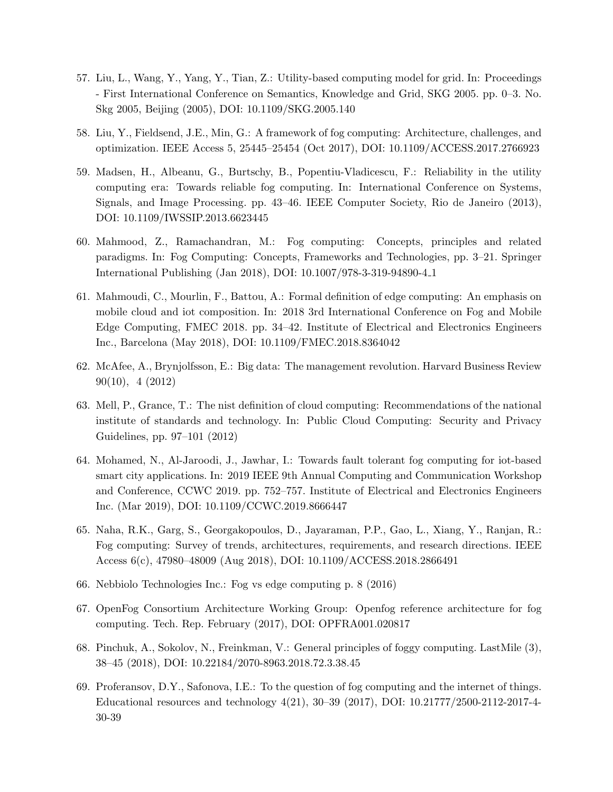- <span id="page-30-2"></span>57. Liu, L., Wang, Y., Yang, Y., Tian, Z.: Utility-based computing model for grid. In: Proceedings - First International Conference on Semantics, Knowledge and Grid, SKG 2005. pp. 0–3. No. Skg 2005, Beijing (2005), DOI: [10.1109/SKG.2005.140](http://dx.doi.org/10.1109/SKG.2005.140)
- <span id="page-30-9"></span>58. Liu, Y., Fieldsend, J.E., Min, G.: A framework of fog computing: Architecture, challenges, and optimization. IEEE Access 5, 25445–25454 (Oct 2017), DOI: [10.1109/ACCESS.2017.2766923](http://dx.doi.org/10.1109/ACCESS.2017.2766923)
- <span id="page-30-3"></span>59. Madsen, H., Albeanu, G., Burtschy, B., Popentiu-Vladicescu, F.: Reliability in the utility computing era: Towards reliable fog computing. In: International Conference on Systems, Signals, and Image Processing. pp. 43–46. IEEE Computer Society, Rio de Janeiro (2013), DOI: [10.1109/IWSSIP.2013.6623445](http://dx.doi.org/10.1109/IWSSIP.2013.6623445)
- <span id="page-30-7"></span>60. Mahmood, Z., Ramachandran, M.: Fog computing: Concepts, principles and related paradigms. In: Fog Computing: Concepts, Frameworks and Technologies, pp. 3–21. Springer International Publishing (Jan 2018), DOI: [10.1007/978-3-319-94890-4](http://dx.doi.org/10.1007/978-3-319-94890-4_1) 1
- <span id="page-30-8"></span>61. Mahmoudi, C., Mourlin, F., Battou, A.: Formal definition of edge computing: An emphasis on mobile cloud and iot composition. In: 2018 3rd International Conference on Fog and Mobile Edge Computing, FMEC 2018. pp. 34–42. Institute of Electrical and Electronics Engineers Inc., Barcelona (May 2018), DOI: [10.1109/FMEC.2018.8364042](http://dx.doi.org/10.1109/FMEC.2018.8364042)
- <span id="page-30-0"></span>62. McAfee, A., Brynjolfsson, E.: Big data: The management revolution. Harvard Business Review 90(10), 4 (2012)
- <span id="page-30-4"></span>63. Mell, P., Grance, T.: The nist definition of cloud computing: Recommendations of the national institute of standards and technology. In: Public Cloud Computing: Security and Privacy Guidelines, pp. 97–101 (2012)
- <span id="page-30-12"></span>64. Mohamed, N., Al-Jaroodi, J., Jawhar, I.: Towards fault tolerant fog computing for iot-based smart city applications. In: 2019 IEEE 9th Annual Computing and Communication Workshop and Conference, CCWC 2019. pp. 752–757. Institute of Electrical and Electronics Engineers Inc. (Mar 2019), DOI: [10.1109/CCWC.2019.8666447](http://dx.doi.org/10.1109/CCWC.2019.8666447)
- <span id="page-30-10"></span>65. Naha, R.K., Garg, S., Georgakopoulos, D., Jayaraman, P.P., Gao, L., Xiang, Y., Ranjan, R.: Fog computing: Survey of trends, architectures, requirements, and research directions. IEEE Access 6(c), 47980–48009 (Aug 2018), DOI: [10.1109/ACCESS.2018.2866491](http://dx.doi.org/10.1109/ACCESS.2018.2866491)
- <span id="page-30-11"></span>66. Nebbiolo Technologies Inc.: Fog vs edge computing p. 8 (2016)
- <span id="page-30-1"></span>67. OpenFog Consortium Architecture Working Group: Openfog reference architecture for fog computing. Tech. Rep. February (2017), DOI: [OPFRA001.020817](http://dx.doi.org/OPFRA001.020817)
- <span id="page-30-5"></span>68. Pinchuk, A., Sokolov, N., Freinkman, V.: General principles of foggy computing. LastMile (3), 38–45 (2018), DOI: [10.22184/2070-8963.2018.72.3.38.45](http://dx.doi.org/10.22184/2070-8963.2018.72.3.38.45)
- <span id="page-30-6"></span>69. Proferansov, D.Y., Safonova, I.E.: To the question of fog computing and the internet of things. Educational resources and technology 4(21), 30–39 (2017), DOI: [10.21777/2500-2112-2017-4-](http://dx.doi.org/10.21777/2500-2112-2017-4-30-39) [30-39](http://dx.doi.org/10.21777/2500-2112-2017-4-30-39)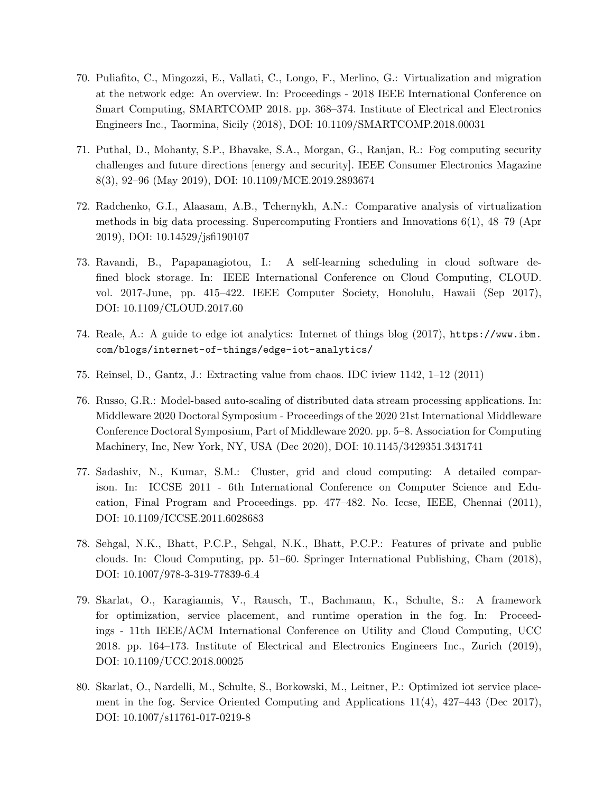- <span id="page-31-7"></span>70. Puliafito, C., Mingozzi, E., Vallati, C., Longo, F., Merlino, G.: Virtualization and migration at the network edge: An overview. In: Proceedings - 2018 IEEE International Conference on Smart Computing, SMARTCOMP 2018. pp. 368–374. Institute of Electrical and Electronics Engineers Inc., Taormina, Sicily (2018), DOI: [10.1109/SMARTCOMP.2018.00031](http://dx.doi.org/10.1109/SMARTCOMP.2018.00031)
- <span id="page-31-8"></span>71. Puthal, D., Mohanty, S.P., Bhavake, S.A., Morgan, G., Ranjan, R.: Fog computing security challenges and future directions [energy and security]. IEEE Consumer Electronics Magazine 8(3), 92–96 (May 2019), DOI: [10.1109/MCE.2019.2893674](http://dx.doi.org/10.1109/MCE.2019.2893674)
- <span id="page-31-2"></span>72. Radchenko, G.I., Alaasam, A.B., Tchernykh, A.N.: Comparative analysis of virtualization methods in big data processing. Supercomputing Frontiers and Innovations 6(1), 48–79 (Apr 2019), DOI: [10.14529/jsfi190107](http://dx.doi.org/10.14529/jsfi190107)
- <span id="page-31-1"></span>73. Ravandi, B., Papapanagiotou, I.: A self-learning scheduling in cloud software defined block storage. In: IEEE International Conference on Cloud Computing, CLOUD. vol. 2017-June, pp. 415–422. IEEE Computer Society, Honolulu, Hawaii (Sep 2017), DOI: [10.1109/CLOUD.2017.60](http://dx.doi.org/10.1109/CLOUD.2017.60)
- <span id="page-31-6"></span>74. Reale, A.: A guide to edge iot analytics: Internet of things blog (2017), [https://www.ibm.](https://www.ibm.com/blogs/internet-of-things/edge-iot-analytics/) [com/blogs/internet-of-things/edge-iot-analytics/](https://www.ibm.com/blogs/internet-of-things/edge-iot-analytics/)
- <span id="page-31-0"></span>75. Reinsel, D., Gantz, J.: Extracting value from chaos. IDC iview 1142, 1–12 (2011)
- <span id="page-31-5"></span>76. Russo, G.R.: Model-based auto-scaling of distributed data stream processing applications. In: Middleware 2020 Doctoral Symposium - Proceedings of the 2020 21st International Middleware Conference Doctoral Symposium, Part of Middleware 2020. pp. 5–8. Association for Computing Machinery, Inc, New York, NY, USA (Dec 2020), DOI: [10.1145/3429351.3431741](http://dx.doi.org/10.1145/3429351.3431741)
- <span id="page-31-4"></span>77. Sadashiv, N., Kumar, S.M.: Cluster, grid and cloud computing: A detailed comparison. In: ICCSE 2011 - 6th International Conference on Computer Science and Education, Final Program and Proceedings. pp. 477–482. No. Iccse, IEEE, Chennai (2011), DOI: [10.1109/ICCSE.2011.6028683](http://dx.doi.org/10.1109/ICCSE.2011.6028683)
- <span id="page-31-3"></span>78. Sehgal, N.K., Bhatt, P.C.P., Sehgal, N.K., Bhatt, P.C.P.: Features of private and public clouds. In: Cloud Computing, pp. 51–60. Springer International Publishing, Cham (2018), DOI: [10.1007/978-3-319-77839-6](http://dx.doi.org/10.1007/978-3-319-77839-6_4) 4
- <span id="page-31-9"></span>79. Skarlat, O., Karagiannis, V., Rausch, T., Bachmann, K., Schulte, S.: A framework for optimization, service placement, and runtime operation in the fog. In: Proceedings - 11th IEEE/ACM International Conference on Utility and Cloud Computing, UCC 2018. pp. 164–173. Institute of Electrical and Electronics Engineers Inc., Zurich (2019), DOI: [10.1109/UCC.2018.00025](http://dx.doi.org/10.1109/UCC.2018.00025)
- <span id="page-31-10"></span>80. Skarlat, O., Nardelli, M., Schulte, S., Borkowski, M., Leitner, P.: Optimized iot service placement in the fog. Service Oriented Computing and Applications 11(4), 427–443 (Dec 2017), DOI: [10.1007/s11761-017-0219-8](http://dx.doi.org/10.1007/s11761-017-0219-8)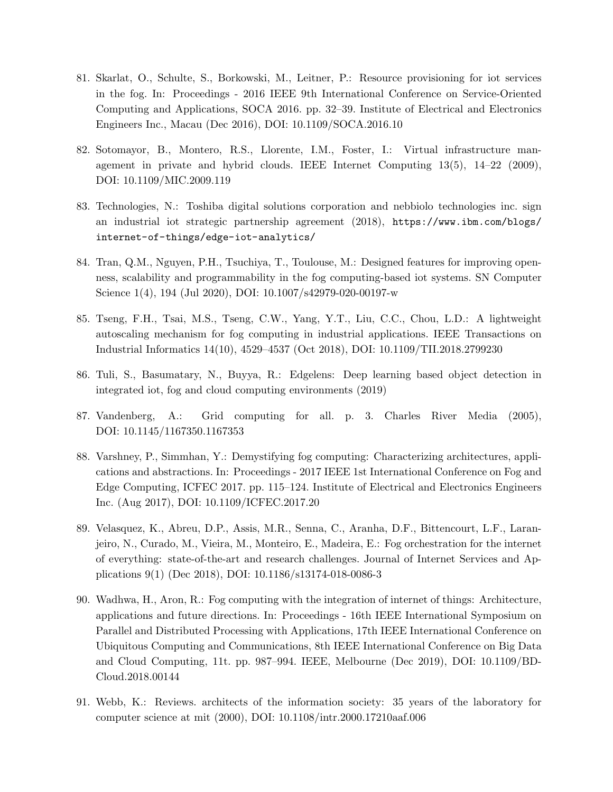- <span id="page-32-9"></span>81. Skarlat, O., Schulte, S., Borkowski, M., Leitner, P.: Resource provisioning for iot services in the fog. In: Proceedings - 2016 IEEE 9th International Conference on Service-Oriented Computing and Applications, SOCA 2016. pp. 32–39. Institute of Electrical and Electronics Engineers Inc., Macau (Dec 2016), DOI: [10.1109/SOCA.2016.10](http://dx.doi.org/10.1109/SOCA.2016.10)
- <span id="page-32-1"></span>82. Sotomayor, B., Montero, R.S., Llorente, I.M., Foster, I.: Virtual infrastructure management in private and hybrid clouds. IEEE Internet Computing 13(5), 14–22 (2009), DOI: [10.1109/MIC.2009.119](http://dx.doi.org/10.1109/MIC.2009.119)
- <span id="page-32-8"></span>83. Technologies, N.: Toshiba digital solutions corporation and nebbiolo technologies inc. sign an industrial iot strategic partnership agreement (2018), [https://www.ibm.com/blogs/](https://www.ibm.com/blogs/internet-of-things/edge-iot-analytics/) [internet-of-things/edge-iot-analytics/](https://www.ibm.com/blogs/internet-of-things/edge-iot-analytics/)
- <span id="page-32-7"></span>84. Tran, Q.M., Nguyen, P.H., Tsuchiya, T., Toulouse, M.: Designed features for improving openness, scalability and programmability in the fog computing-based iot systems. SN Computer Science 1(4), 194 (Jul 2020), DOI: [10.1007/s42979-020-00197-w](http://dx.doi.org/10.1007/s42979-020-00197-w)
- <span id="page-32-5"></span>85. Tseng, F.H., Tsai, M.S., Tseng, C.W., Yang, Y.T., Liu, C.C., Chou, L.D.: A lightweight autoscaling mechanism for fog computing in industrial applications. IEEE Transactions on Industrial Informatics 14(10), 4529–4537 (Oct 2018), DOI: [10.1109/TII.2018.2799230](http://dx.doi.org/10.1109/TII.2018.2799230)
- <span id="page-32-4"></span>86. Tuli, S., Basumatary, N., Buyya, R.: Edgelens: Deep learning based object detection in integrated iot, fog and cloud computing environments (2019)
- <span id="page-32-2"></span>87. Vandenberg, A.: Grid computing for all. p. 3. Charles River Media (2005), DOI: [10.1145/1167350.1167353](http://dx.doi.org/10.1145/1167350.1167353)
- <span id="page-32-10"></span>88. Varshney, P., Simmhan, Y.: Demystifying fog computing: Characterizing architectures, applications and abstractions. In: Proceedings - 2017 IEEE 1st International Conference on Fog and Edge Computing, ICFEC 2017. pp. 115–124. Institute of Electrical and Electronics Engineers Inc. (Aug 2017), DOI: [10.1109/ICFEC.2017.20](http://dx.doi.org/10.1109/ICFEC.2017.20)
- <span id="page-32-6"></span>89. Velasquez, K., Abreu, D.P., Assis, M.R., Senna, C., Aranha, D.F., Bittencourt, L.F., Laranjeiro, N., Curado, M., Vieira, M., Monteiro, E., Madeira, E.: Fog orchestration for the internet of everything: state-of-the-art and research challenges. Journal of Internet Services and Applications 9(1) (Dec 2018), DOI: [10.1186/s13174-018-0086-3](http://dx.doi.org/10.1186/s13174-018-0086-3)
- <span id="page-32-3"></span>90. Wadhwa, H., Aron, R.: Fog computing with the integration of internet of things: Architecture, applications and future directions. In: Proceedings - 16th IEEE International Symposium on Parallel and Distributed Processing with Applications, 17th IEEE International Conference on Ubiquitous Computing and Communications, 8th IEEE International Conference on Big Data and Cloud Computing, 11t. pp. 987–994. IEEE, Melbourne (Dec 2019), DOI: [10.1109/BD-](http://dx.doi.org/10.1109/BDCloud.2018.00144)[Cloud.2018.00144](http://dx.doi.org/10.1109/BDCloud.2018.00144)
- <span id="page-32-0"></span>91. Webb, K.: Reviews. architects of the information society: 35 years of the laboratory for computer science at mit (2000), DOI: [10.1108/intr.2000.17210aaf.006](http://dx.doi.org/10.1108/intr.2000.17210aaf.006)